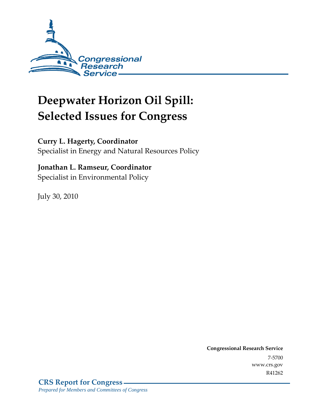

# **Deepwater Horizon Oil Spill: Selected Issues for Congress**

## **Curry L. Hagerty, Coordinator**

Specialist in Energy and Natural Resources Policy

## **Jonathan L. Ramseur, Coordinator**

Specialist in Environmental Policy

July 30, 2010

**Congressional Research Service** 7-5700 www.crs.gov R41262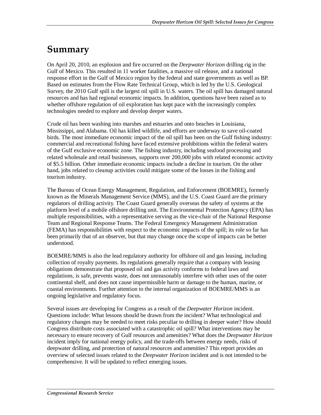## **Summary**

On April 20, 2010, an explosion and fire occurred on the *Deepwater Horizon* drilling rig in the Gulf of Mexico. This resulted in 11 worker fatalities, a massive oil release, and a national response effort in the Gulf of Mexico region by the federal and state governments as well as BP. Based on estimates from the Flow Rate Technical Group, which is led by the U.S. Geological Survey, the 2010 Gulf spill is the largest oil spill in U.S. waters. The oil spill has damaged natural resources and has had regional economic impacts. In addition, questions have been raised as to whether offshore regulation of oil exploration has kept pace with the increasingly complex technologies needed to explore and develop deeper waters.

Crude oil has been washing into marshes and estuaries and onto beaches in Louisiana, Mississippi, and Alabama. Oil has killed wildlife, and efforts are underway to save oil-coated birds. The most immediate economic impact of the oil spill has been on the Gulf fishing industry: commercial and recreational fishing have faced extensive prohibitions within the federal waters of the Gulf exclusive economic zone. The fishing industry, including seafood processing and related wholesale and retail businesses, supports over 200,000 jobs with related economic activity of \$5.5 billion. Other immediate economic impacts include a decline in tourism. On the other hand, jobs related to cleanup activities could mitigate some of the losses in the fishing and tourism industry.

The Bureau of Ocean Energy Management, Regulation, and Enforcement (BOEMRE), formerly known as the Minerals Management Service (MMS), and the U.S. Coast Guard are the primary regulators of drilling activity. The Coast Guard generally overseas the safety of systems at the platform level of a mobile offshore drilling unit. The Environmental Protection Agency (EPA) has multiple responsibilities, with a representative serving as the vice-chair of the National Response Team and Regional Response Teams. The Federal Emergency Management Administration (FEMA) has responsibilities with respect to the economic impacts of the spill; its role so far has been primarily that of an observer, but that may change once the scope of impacts can be better understood.

BOEMRE/MMS is also the lead regulatory authority for offshore oil and gas leasing, including collection of royalty payments. Its regulations generally require that a company with leasing obligations demonstrate that proposed oil and gas activity conforms to federal laws and regulations, is safe, prevents waste, does not unreasonably interfere with other uses of the outer continental shelf, and does not cause impermissible harm or damage to the human, marine, or coastal environments. Further attention to the internal organization of BOEMRE/MMS is an ongoing legislative and regulatory focus.

Several issues are developing for Congress as a result of the *Deepwater Horizon* incident. Questions include: What lessons should be drawn from the incident? What technological and regulatory changes may be needed to meet risks peculiar to drilling in deeper water? How should Congress distribute costs associated with a catastrophic oil spill? What interventions may be necessary to ensure recovery of Gulf resources and amenities? What does the *Deepwater Horizon* incident imply for national energy policy, and the trade-offs between energy needs, risks of deepwater drilling, and protection of natural resources and amenities? This report provides an overview of selected issues related to the *Deepwater Horizon* incident and is not intended to be comprehensive. It will be updated to reflect emerging issues.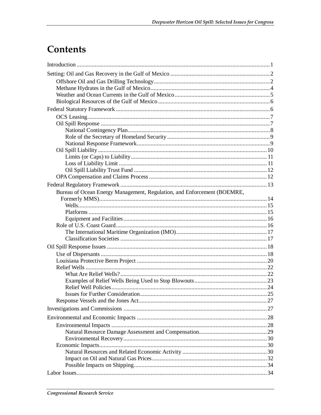## Contents

| Bureau of Ocean Energy Management, Regulation, and Enforcement (BOEMRE, |  |
|-------------------------------------------------------------------------|--|
|                                                                         |  |
|                                                                         |  |
|                                                                         |  |
|                                                                         |  |
|                                                                         |  |
|                                                                         |  |
|                                                                         |  |
|                                                                         |  |
|                                                                         |  |
|                                                                         |  |
|                                                                         |  |
|                                                                         |  |
|                                                                         |  |
|                                                                         |  |
|                                                                         |  |
|                                                                         |  |
|                                                                         |  |
|                                                                         |  |
|                                                                         |  |
|                                                                         |  |
|                                                                         |  |
|                                                                         |  |
|                                                                         |  |
|                                                                         |  |
|                                                                         |  |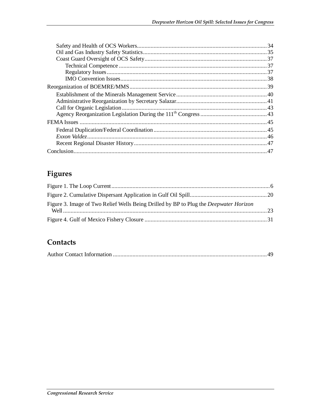## Figures

| Figure 3. Image of Two Relief Wells Being Drilled by BP to Plug the <i>Deepwater Horizon</i> |  |
|----------------------------------------------------------------------------------------------|--|
|                                                                                              |  |

## Contacts

|--|--|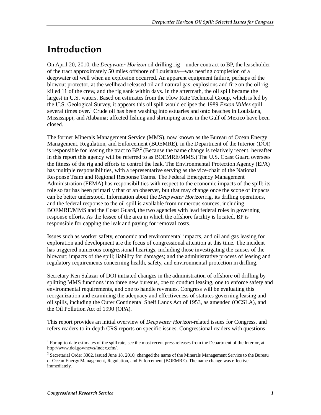## **Introduction**

On April 20, 2010, the *Deepwater Horizon* oil drilling rig—under contract to BP, the leaseholder of the tract approximately 50 miles offshore of Louisiana—was nearing completion of a deepwater oil well when an explosion occurred. An apparent equipment failure, perhaps of the blowout protector, at the wellhead released oil and natural gas; explosions and fire on the oil rig killed 11 of the crew, and the rig sank within days. In the aftermath, the oil spill became the largest in U.S. waters. Based on estimates from the Flow Rate Technical Group, which is led by the U.S. Geological Survey, it appears this oil spill would eclipse the 1989 *Exxon Valdez* spill several times over.<sup>1</sup> Crude oil has been washing into estuaries and onto beaches in Louisiana, Mississippi, and Alabama; affected fishing and shrimping areas in the Gulf of Mexico have been closed.

The former Minerals Management Service (MMS), now known as the Bureau of Ocean Energy Management, Regulation, and Enforcement (BOEMRE), in the Department of the Interior (DOI) is responsible for leasing the tract to  $BP^2$ . (Because the name change is relatively recent, hereafter in this report this agency will be referred to as BOEMRE/MMS.) The U.S. Coast Guard oversees the fitness of the rig and efforts to control the leak. The Environmental Protection Agency (EPA) has multiple responsibilities, with a representative serving as the vice-chair of the National Response Team and Regional Response Teams. The Federal Emergency Management Administration (FEMA) has responsibilities with respect to the economic impacts of the spill; its role so far has been primarily that of an observer, but that may change once the scope of impacts can be better understood. Information about the *Deepwater Horizon* rig, its drilling operations, and the federal response to the oil spill is available from numerous sources, including BOEMRE/MMS and the Coast Guard, the two agencies with lead federal roles in governing response efforts. As the lessee of the area in which the offshore facility is located, BP is responsible for capping the leak and paying for removal costs.

Issues such as worker safety, economic and environmental impacts, and oil and gas leasing for exploration and development are the focus of congressional attention at this time. The incident has triggered numerous congressional hearings, including those investigating the causes of the blowout; impacts of the spill; liability for damages; and the administrative process of leasing and regulatory requirements concerning health, safety, and environmental protection in drilling.

Secretary Ken Salazar of DOI initiated changes in the administration of offshore oil drilling by splitting MMS functions into three new bureaus, one to conduct leasing, one to enforce safety and environmental requirements, and one to handle revenues. Congress will be evaluating this reorganization and examining the adequacy and effectiveness of statutes governing leasing and oil spills, including the Outer Continental Shelf Lands Act of 1953, as amended (OCSLA), and the Oil Pollution Act of 1990 (OPA).

This report provides an initial overview of *Deepwater Horizon*-related issues for Congress, and refers readers to in-depth CRS reports on specific issues. Congressional readers with questions

<sup>&</sup>lt;u>.</u> <sup>1</sup> For up-to-date estimates of the spill rate, see the most recent press releases from the Department of the Interior, at http://www.doi.gov/news/index.cfm/.

<sup>&</sup>lt;sup>2</sup> Secretarial Order 3302, issued June 18, 2010, changed the name of the Minerals Management Service to the Bureau of Ocean Energy Management, Regulation, and Enforcement (BOEMRE). The name change was effective immediately.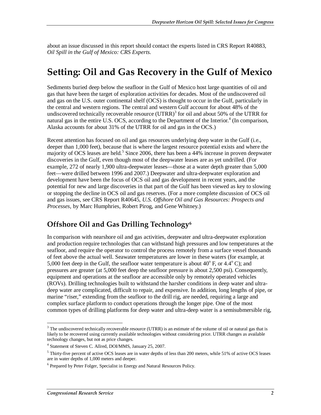about an issue discussed in this report should contact the experts listed in CRS Report R40883, *Oil Spill in the Gulf of Mexico: CRS Experts*.

## **Setting: Oil and Gas Recovery in the Gulf of Mexico**

Sediments buried deep below the seafloor in the Gulf of Mexico host large quantities of oil and gas that have been the target of exploration activities for decades. Most of the undiscovered oil and gas on the U.S. outer continental shelf (OCS) is thought to occur in the Gulf, particularly in the central and western regions. The central and western Gulf account for about 48% of the undiscovered technically recoverable resource  $(UTRR)^3$  for oil and about 50% of the UTRR for natural gas in the entire U.S. OCS, according to the Department of the Interior.<sup>4</sup> (In comparison, Alaska accounts for about 31% of the UTRR for oil and gas in the OCS.)

Recent attention has focused on oil and gas resources underlying deep water in the Gulf (i.e., deeper than 1,000 feet), because that is where the largest resource potential exists and where the majority of OCS leases are held.<sup>5</sup> Since 2006, there has been a 44% increase in proven deepwater discoveries in the Gulf, even though most of the deepwater leases are as yet undrilled. (For example, 272 of nearly 1,900 ultra-deepwater leases—those at a water depth greater than 5,000 feet—were drilled between 1996 and 2007.) Deepwater and ultra-deepwater exploration and development have been the focus of OCS oil and gas development in recent years, and the potential for new and large discoveries in that part of the Gulf has been viewed as key to slowing or stopping the decline in OCS oil and gas reserves. (For a more complete discussion of OCS oil and gas issues, see CRS Report R40645, *U.S. Offshore Oil and Gas Resources: Prospects and Processes*, by Marc Humphries, Robert Pirog, and Gene Whitney.)

## **Offshore Oil and Gas Drilling Technology6**

In comparison with nearshore oil and gas activities, deepwater and ultra-deepwater exploration and production require technologies that can withstand high pressures and low temperatures at the seafloor, and require the operator to control the process remotely from a surface vessel thousands of feet above the actual well. Seawater temperatures are lower in these waters (for example, at 5,000 feet deep in the Gulf, the seafloor water temperature is about  $40^{\circ}$  F, or  $4.4^{\circ}$  C); and pressures are greater (at 5,000 feet deep the seafloor pressure is about 2,500 psi). Consequently, equipment and operations at the seafloor are accessible only by remotely operated vehicles (ROVs). Drilling technologies built to withstand the harsher conditions in deep water and ultradeep water are complicated, difficult to repair, and expensive. In addition, long lengths of pipe, or marine "riser," extending from the seafloor to the drill rig, are needed, requiring a large and complex surface platform to conduct operations through the longer pipe. One of the most common types of drilling platforms for deep water and ultra-deep water is a semisubmersible rig,

<sup>&</sup>lt;sup>3</sup>The undiscovered technically recoverable resource (UTRR) is an estimate of the volume of oil or natural gas that is likely to be recovered using currently available technologies without considering price. UTRR changes as available technology changes, but not as price changes.

<sup>4</sup> Statement of Steven C. Allred, DOI/MMS, January 25, 2007.

<sup>&</sup>lt;sup>5</sup> Thirty-five percent of active OCS leases are in water depths of less than 200 meters, while 51% of active OCS leases are in water depths of 1,000 meters and deeper.

<sup>&</sup>lt;sup>6</sup> Prepared by Peter Folger, Specialist in Energy and Natural Resources Policy.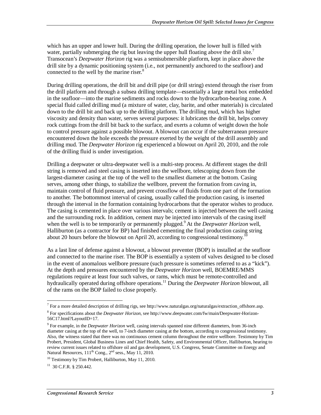which has an upper and lower hull. During the drilling operation, the lower hull is filled with water, partially submerging the rig but leaving the upper hull floating above the drill site.<sup>7</sup> Transocean's *Deepwater Horizon* rig was a semisubmersible platform, kept in place above the drill site by a dynamic positioning system (i.e., not permanently anchored to the seafloor) and connected to the well by the marine riser.<sup>8</sup>

During drilling operations, the drill bit and drill pipe (or drill string) extend through the riser from the drill platform and through a subsea drilling template—essentially a large metal box embedded in the seafloor—into the marine sediments and rocks down to the hydrocarbon-bearing zone. A special fluid called drilling mud (a mixture of water, clay, barite, and other materials) is circulated down to the drill bit and back up to the drilling platform. The drilling mud, which has higher viscosity and density than water, serves several purposes: it lubricates the drill bit, helps convey rock cuttings from the drill bit back to the surface, and exerts a column of weight down the hole to control pressure against a possible blowout. A blowout can occur if the subterranean pressure encountered down the hole exceeds the pressure exerted by the weight of the drill assembly and drilling mud. The *Deepwater Horizon* rig experienced a blowout on April 20, 2010, and the role of the drilling fluid is under investigation.

Drilling a deepwater or ultra-deepwater well is a multi-step process. At different stages the drill string is removed and steel casing is inserted into the wellbore, telescoping down from the largest-diameter casing at the top of the well to the smallest diameter at the bottom. Casing serves, among other things, to stabilize the wellbore, prevent the formation from caving in, maintain control of fluid pressure, and prevent crossflow of fluids from one part of the formation to another. The bottommost interval of casing, usually called the production casing, is inserted through the interval in the formation containing hydrocarbons that the operator wishes to produce. The casing is cemented in place over various intervals; cement is injected between the well casing and the surrounding rock. In addition, cement may be injected into intervals of the casing itself when the well is to be temporarily or permanently plugged.<sup>9</sup> At the *Deepwater Horizon* well, Halliburton (as a contractor for BP) had finished cementing the final production casing string about 20 hours before the blowout on April 20, according to congressional testimony.<sup>10</sup>

As a last line of defense against a blowout, a blowout preventer (BOP) is installed at the seafloor and connected to the marine riser. The BOP is essentially a system of valves designed to be closed in the event of anomalous wellbore pressure (such pressure is sometimes referred to as a "kick"). At the depth and pressures encountered by the *Deepwater Horizon* well, BOEMRE/MMS regulations require at least four such valves, or rams, which must be remote-controlled and hydraulically operated during offshore operations.11 During the *Deepwater Horizon* blowout, all of the rams on the BOP failed to close properly.

<sup>&</sup>lt;u>.</u> <sup>7</sup> For a more detailed description of drilling rigs, see http://www.naturalgas.org/naturalgas/extraction\_offshore.asp.

<sup>8</sup> For specifications about the *Deepwater Horizon*, see http://www.deepwater.com/fw/main/Deepwater-Horizon-56C17.html?LayoutID=17.

<sup>&</sup>lt;sup>9</sup> For example, in the *Deepwater Horizon* well, casing intervals spanned nine different diameters, from 36-inch diameter casing at the top of the well, to 7-inch diameter casing at the bottom, according to congressional testimony. Also, the witness stated that there was no continuous cement column throughout the entire wellbore. Testimony by Tim Probert, President, Global Business Lines and Chief Health, Safety, and Environmental Officer, Halliburton, hearing to review current issues related to offshore oil and gas development, U.S. Congress, Senate Committee on Energy and Natural Resources,  $111^{th}$  Cong.,  $2^{nd}$  sess., May 11, 2010.

 $10$  Testimony by Tim Probert, Halliburton, May 11, 2010.

 $11$  30 C.F.R. § 250.442.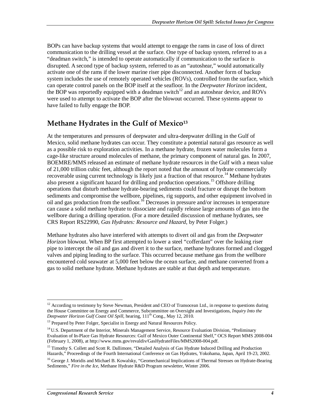BOPs can have backup systems that would attempt to engage the rams in case of loss of direct communication to the drilling vessel at the surface. One type of backup system, referred to as a "deadman switch," is intended to operate automatically if communication to the surface is disrupted. A second type of backup system, referred to as an "autoshear," would automatically activate one of the rams if the lower marine riser pipe disconnected. Another form of backup system includes the use of remotely operated vehicles (ROVs), controlled from the surface, which can operate control panels on the BOP itself at the seafloor. In the *Deepwater Horizon* incident, the BOP was reportedly equipped with a deadman switch<sup>12</sup> and an autoshear device, and ROVs were used to attempt to activate the BOP after the blowout occurred. These systems appear to have failed to fully engage the BOP.

## **Methane Hydrates in the Gulf of Mexico13**

At the temperatures and pressures of deepwater and ultra-deepwater drilling in the Gulf of Mexico, solid methane hydrates can occur. They constitute a potential natural gas resource as well as a possible risk to exploration activities. In a methane hydrate, frozen water molecules form a cage-like structure around molecules of methane, the primary component of natural gas. In 2007, BOEMRE/MMS released an estimate of methane hydrate resources in the Gulf with a mean value of 21,000 trillion cubic feet, although the report noted that the amount of hydrate commercially recoverable using current technology is likely just a fraction of that resource.<sup>14</sup> Methane hydrates also present a significant hazard for drilling and production operations.15 Offshore drilling operations that disturb methane hydrate-bearing sediments could fracture or disrupt the bottom sediments and compromise the wellbore, pipelines, rig supports, and other equipment involved in oil and gas production from the seafloor.16 Decreases in pressure and/or increases in temperature can cause a solid methane hydrate to dissociate and rapidly release large amounts of gas into the wellbore during a drilling operation. (For a more detailed discussion of methane hydrates, see CRS Report RS22990, *Gas Hydrates: Resource and Hazard*, by Peter Folger.)

Methane hydrates also have interfered with attempts to divert oil and gas from the *Deepwater Horizon* blowout. When BP first attempted to lower a steel "cofferdam" over the leaking riser pipe to intercept the oil and gas and divert it to the surface, methane hydrates formed and clogged valves and piping leading to the surface. This occurred because methane gas from the wellbore encountered cold seawater at 5,000 feet below the ocean surface, and methane converted from a gas to solid methane hydrate. Methane hydrates are stable at that depth and temperature.

<sup>-</sup> $12$  According to testimony by Steve Newman, President and CEO of Transocean Ltd., in response to questions during the House Committee on Energy and Commerce, Subcommittee on Oversight and Investigations, *Inquiry Into the*  Deepwater Horizon Gulf Coast Oil Spill, hearing, 111<sup>th</sup> Cong., May 12, 2010.

<sup>&</sup>lt;sup>13</sup> Prepared by Peter Folger, Specialist in Energy and Natural Resources Policy.

<sup>&</sup>lt;sup>14</sup> U.S. Department of the Interior, Minerals Management Service, Resource Evaluation Division, "Preliminary" Evaluation of In-Place Gas Hydrate Resources: Gulf of Mexico Outer Continental Shelf," OCS Report MMS 2008-004 (February 1, 2008), at http://www.mms.gov/revaldiv/GasHydrateFiles/MMS2008-004.pdf.

<sup>&</sup>lt;sup>15</sup> Timothy S. Collett and Scott R. Dallimore, "Detailed Analysis of Gas Hydrate Induced Drilling and Production Hazards," Proceedings of the Fourth International Conference on Gas Hydrates, Yokohama, Japan, April 19-23, 2002.

<sup>&</sup>lt;sup>16</sup> George J. Moridis and Michael B. Kowalsky, "Geomechanical Implications of Thermal Stresses on Hydrate-Bearing Sediments," *Fire in the Ice*, Methane Hydrate R&D Program newsletter, Winter 2006.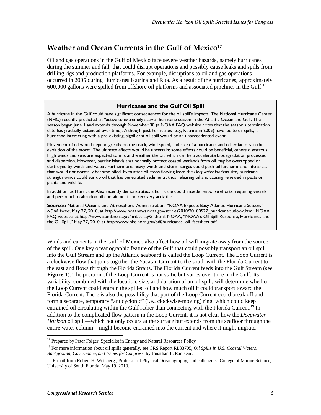### Weather and Ocean Currents in the Gulf of Mexico<sup>17</sup>

Oil and gas operations in the Gulf of Mexico face severe weather hazards, namely hurricanes during the summer and fall, that could disrupt operations and possibly cause leaks and spills from drilling rigs and production platforms. For example, disruptions to oil and gas operations occurred in 2005 during Hurricanes Katrina and Rita. As a result of the hurricanes, approximately  $600,000$  gallons were spilled from offshore oil platforms and associated pipelines in the Gulf.<sup>18</sup>

#### **Hurricanes and the Gulf Oil Spill**

A hurricane in the Gulf could have significant consequences for the oil spill's impacts. The National Hurricane Center (NHC) recently predicted an "active to extremely active" hurricane season in the Atlantic Ocean and Gulf. The season began June 1 and extends through November 30 (a NOAA FAQ website notes that the season's termination date has gradually extended over time). Although past hurricanes (e.g., Katrina in 2005) have led to oil spills, a hurricane interacting with a pre-existing, significant oil spill would be an unprecedented event.

Movement of oil would depend greatly on the track, wind speed, and size of a hurricane, and other factors in the evolution of the storm. The ultimate effects would be uncertain: some effects could be beneficial, others disastrous. High winds and seas are expected to mix and weather the oil, which can help accelerate biodegradation processes and dispersion. However, barrier islands that normally protect coastal wetlands from oil may be overtopped or destroyed by winds and water. Furthermore, heavy winds and storm surges could push oil further inland into areas that would not normally become oiled. Even after oil stops flowing from the *Deepwater Horizon* site, hurricanestrength winds could stir up oil that has penetrated sediments, thus releasing oil and causing renewed impacts on plants and wildlife.

In addition, as Hurricane Alex recently demonstrated, a hurricane could impede response efforts, requiring vessels and personnel to abandon oil containment and recovery activities.

**Sources:** National Oceanic and Atmospheric Administration, "NOAA Expects Busy Atlantic Hurricane Season," *NOAA News*, May 27, 2010, at http://www.noaanews.noaa.gov/stories2010/20100527\_hurricaneoutlook.html; NOAA FAQ website, at http://www.aoml.noaa.gov/hrd/tcfaq/G1.html; NOAA, "NOAA's Oil Spill Response, Hurricanes and the Oil Spill," May 27, 2010, at http://www.nhc.noaa.gov/pdf/hurricanes\_oil\_factsheet.pdf.

Winds and currents in the Gulf of Mexico also affect how oil will migrate away from the source of the spill. One key oceanographic feature of the Gulf that could possibly transport an oil spill into the Gulf Stream and up the Atlantic seaboard is called the Loop Current. The Loop Current is a clockwise flow that joins together the Yucatan Current to the south with the Florida Current to the east and flows through the Florida Straits. The Florida Current feeds into the Gulf Stream (see **Figure 1**). The position of the Loop Current is not static but varies over time in the Gulf. Its variability, combined with the location, size, and duration of an oil spill, will determine whether the Loop Current could entrain the spilled oil and how much oil it could transport toward the Florida Current. There is also the possibility that part of the Loop Current could break off and form a separate, temporary "anticyclonic" (i.e., clockwise-moving) ring, which could keep entrained oil circulating within the Gulf rather than connecting with the Florida Current.<sup>19</sup> In addition to the complicated flow pattern in the Loop Current, it is not clear how the *Deepwater Horizon* oil spill—which not only occurs at the surface but extends from the seafloor through the entire water column—might become entrained into the current and where it might migrate.

 $\frac{1}{1}$ 

<sup>&</sup>lt;sup>17</sup> Prepared by Peter Folger, Specialist in Energy and Natural Resources Policy.

<sup>18</sup> For more information about oil spills generally, see CRS Report RL33705, *Oil Spills in U.S. Coastal Waters: Background, Governance, and Issues for Congress*, by Jonathan L. Ramseur.

<sup>&</sup>lt;sup>19</sup> E-mail from Robert H. Weisberg, Professor of Physical Oceanography, and colleagues, College of Marine Science, University of South Florida, May 19, 2010.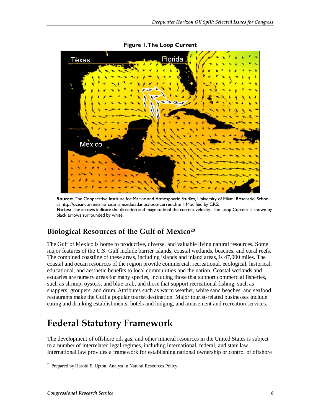

**Figure 1. The Loop Current** 

**Source:** The Cooperative Institute for Marine and Atmospheric Studies, University of Miami Rosenstiel School, at http://oceancurrents.rsmas.miami.edu/atlantic/loop-current.html. Modified by CRS. **Notes:** The arrows indicate the direction and magnitude of the current velocity. The Loop Current is shown by black arrows surrounded by white.

## **Biological Resources of the Gulf of Mexico20**

The Gulf of Mexico is home to productive, diverse, and valuable living natural resources. Some major features of the U.S. Gulf include barrier islands, coastal wetlands, beaches, and coral reefs. The combined coastline of these areas, including islands and inland areas, is 47,000 miles. The coastal and ocean resources of the region provide commercial, recreational, ecological, historical, educational, and aesthetic benefits to local communities and the nation. Coastal wetlands and estuaries are nursery areas for many species, including those that support commercial fisheries, such as shrimp, oysters, and blue crab, and those that support recreational fishing, such as snappers, groupers, and drum. Attributes such as warm weather, white sand beaches, and seafood restaurants make the Gulf a popular tourist destination. Major tourist-related businesses include eating and drinking establishments, hotels and lodging, and amusement and recreation services.

## **Federal Statutory Framework**

The development of offshore oil, gas, and other mineral resources in the United States is subject to a number of interrelated legal regimes, including international, federal, and state law. International law provides a framework for establishing national ownership or control of offshore

<sup>-</sup> $20$  Prepared by Harold F. Upton, Analyst in Natural Resources Policy.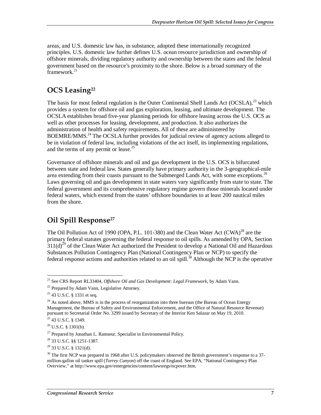areas, and U.S. domestic law has, in substance, adopted these internationally recognized principles. U.S. domestic law further defines U.S. ocean resource jurisdiction and ownership of offshore minerals, dividing regulatory authority and ownership between the states and the federal government based on the resource's proximity to the shore. Below is a broad summary of the  $r_{\text{ramework}}^{21}$ 

## **OCS Leasing22**

The basis for most federal regulation is the Outer Continental Shelf Lands Act  $(OCSLA)<sup>23</sup>$  which provides a system for offshore oil and gas exploration, leasing, and ultimate development. The OCSLA establishes broad five-year planning periods for offshore leasing across the U.S. OCS as well as other processes for leasing, development, and production. It also authorizes the administration of health and safety requirements. All of these are administered by BOEMRE/MMS.<sup>24</sup> The OCSLA further provides for judicial review of agency actions alleged to be in violation of federal law, including violations of the act itself, its implementing regulations, and the terms of any permit or lease.<sup>25</sup>

Governance of offshore minerals and oil and gas development in the U.S. OCS is bifurcated between state and federal law. States generally have primary authority in the 3-geographical-mile area extending from their coasts pursuant to the Submerged Lands Act, with some exceptions.<sup>26</sup> Laws governing oil and gas development in state waters vary significantly from state to state. The federal government and its comprehensive regulatory regime govern those minerals located under federal waters, which extend from the states' offshore boundaries to at least 200 nautical miles from the shore.

## **Oil Spill Response27**

The Oil Pollution Act of 1990 (OPA, P.L. 101-380) and the Clean Water Act (CWA)<sup>28</sup> are the primary federal statutes governing the federal response to oil spills. As amended by OPA, Section  $311(d)^{29}$  of the Clean Water Act authorized the President to develop a National Oil and Hazardous Substances Pollution Contingency Plan (National Contingency Plan or NCP) to specify the federal response actions and authorities related to an oil spill.<sup>30</sup> Although the NCP is the operative

<sup>-</sup><sup>21</sup> See CRS Report RL33404, *Offshore Oil and Gas Development: Legal Framework*, by Adam Vann. <sup>22</sup> Prepared by Adam Vann, Legislative Attorney.

<sup>23 43</sup> U.S.C. § 1331 et seq.

 $24$  As noted above, MMS is in the process of reorganization into three bureaus (the Bureau of Ocean Energy Management, the Bureau of Safety and Environmental Enforcement, and the Office of Natural Resource Revenue) pursuant to Secretarial Order No. 3299 issued by Secretary of the Interior Ken Salazar on May 19, 2010. <sup>25</sup> 43 U.S.C. § 1349.

 $26$  U.S.C. § 1301(b).

 $27$  Prepared by Jonathan L. Ramseur, Specialist in Environmental Policy.

<sup>28 33</sup> U.S.C. §§ 1251-1387.

 $29$  33 U.S.C. § 1321(d).

 $30$  The first NCP was prepared in 1968 after U.S. policymakers observed the British government's response to a 37million-gallon oil tanker spill (*Torrey Canyon*) off the coast of England. See EPA, "National Contingency Plan Overview," at http://www.epa.gov/emergencies/content/lawsregs/ncpover.htm.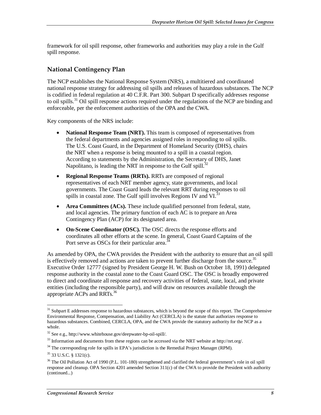framework for oil spill response, other frameworks and authorities may play a role in the Gulf spill response.

#### **National Contingency Plan**

The NCP establishes the National Response System (NRS), a multitiered and coordinated national response strategy for addressing oil spills and releases of hazardous substances. The NCP is codified in federal regulation at 40 C.F.R. Part 300. Subpart D specifically addresses response to oil spills.<sup>31</sup> Oil spill response actions required under the regulations of the NCP are binding and enforceable, per the enforcement authorities of the OPA and the CWA.

Key components of the NRS include:

- **National Response Team (NRT).** This team is composed of representatives from the federal departments and agencies assigned roles in responding to oil spills. The U.S. Coast Guard, in the Department of Homeland Security (DHS), chairs the NRT when a response is being mounted to a spill in a coastal region. According to statements by the Administration, the Secretary of DHS, Janet Napolitano, is leading the NRT in response to the Gulf spill.<sup>32</sup>
- **Regional Response Teams (RRTs).** RRTs are composed of regional representatives of each NRT member agency, state governments, and local governments. The Coast Guard leads the relevant RRT during responses to oil spills in coastal zone. The Gulf spill involves Regions IV and VI.<sup>37</sup>
- **Area Committees (ACs).** These include qualified personnel from federal, state, and local agencies. The primary function of each AC is to prepare an Area Contingency Plan (ACP) for its designated area.
- **On-Scene Coordinator (OSC).** The OSC directs the response efforts and coordinates all other efforts at the scene. In general, Coast Guard Captains of the Port serve as OSCs for their particular area.<sup>3</sup>

As amended by OPA, the CWA provides the President with the authority to ensure that an oil spill is effectively removed and actions are taken to prevent further discharge from the source.<sup>35</sup> Executive Order 12777 (signed by President George H. W. Bush on October 18, 1991) delegated response authority in the coastal zone to the Coast Guard OSC. The OSC is broadly empowered to direct and coordinate all response and recovery activities of federal, state, local, and private entities (including the responsible party), and will draw on resources available through the appropriate ACPs and RRTs.36

<sup>&</sup>lt;u>.</u> <sup>31</sup> Subpart E addresses response to hazardous substances, which is beyond the scope of this report. The Comprehensive Environmental Response, Compensation, and Liability Act (CERCLA) is the statute that authorizes response to hazardous substances. Combined, CERCLA, OPA, and the CWA provide the statutory authority for the NCP as a whole.

<sup>&</sup>lt;sup>32</sup> See e.g., http://www.whitehouse.gov/deepwater-bp-oil-spill/.<br><sup>33</sup> Information and documents from these regions can be accessed via the NRT website at http://nrt.org/.

<sup>&</sup>lt;sup>34</sup> The corresponding role for spills in EPA's jurisdiction is the Remedial Project Manager (RPM).

 $35$  33 U.S.C. § 1321(c).

<sup>&</sup>lt;sup>36</sup> The Oil Pollution Act of 1990 (P.L. 101-180) strengthened and clarified the federal government's role in oil spill response and cleanup. OPA Section 4201 amended Section 311(c) of the CWA to provide the President with authority (continued...)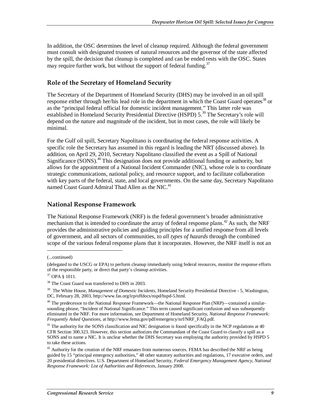In addition, the OSC determines the level of cleanup required. Although the federal government must consult with designated trustees of natural resources and the governor of the state affected by the spill, the decision that cleanup is completed and can be ended rests with the OSC. States may require further work, but without the support of federal funding.<sup>37</sup>

#### **Role of the Secretary of Homeland Security**

The Secretary of the Department of Homeland Security (DHS) may be involved in an oil spill response either through her/his lead role in the department in which the Coast Guard operates<sup>38</sup> or as the "principal federal official for domestic incident management." This latter role was established in Homeland Security Presidential Directive (HSPD) 5.<sup>39</sup> The Secretary's role will depend on the nature and magnitude of the incident, but in most cases, the role will likely be minimal.

For the Gulf oil spill, Secretary Napolitano is coordinating the federal response activities. A specific role the Secretary has assumed in this regard is leading the NRT (discussed above). In addition, on April 29, 2010, Secretary Napolitano classified the event as a Spill of National Significance (SONS).<sup>40</sup> This designation does not provide additional funding or authority, but allows for the appointment of a National Incident Commander (NIC), whose role is to coordinate strategic communications, national policy, and resource support, and to facilitate collaboration with key parts of the federal, state, and local governments. On the same day, Secretary Napolitano named Coast Guard Admiral Thad Allen as the NIC.<sup>41</sup>

#### **National Response Framework**

The National Response Framework (NRF) is the federal government's broader administrative mechanism that is intended to coordinate the array of federal response plans.<sup>42</sup> As such, the NRF provides the administrative policies and guiding principles for a unified response from all levels of government, and all sectors of communities, to *all types of hazards* through the combined scope of the various federal response plans that it incorporates. However, the NRF itself is not an

<u>.</u>

<sup>(...</sup>continued)

<sup>(</sup>delegated to the USCG or EPA) to perform cleanup immediately using federal resources, monitor the response efforts of the responsible party, or direct that party's cleanup activities.

<sup>37</sup> OPA § 1011.

<sup>38</sup> The Coast Guard was transferred to DHS in 2003.

<sup>&</sup>lt;sup>39</sup> The White House, *Management of Domestic Incidents*, Homeland Security Presidential Directive - 5, Washington, DC, February 28, 2003, http://www.fas.org/irp/offdocs/nspd/hspd-5.html.

<sup>&</sup>lt;sup>40</sup> The predecessor to the National Response Framework—the National Response Plan (NRP)—contained a similarsounding phrase, "Incident of National Significance." This term caused significant confusion and was subsequently eliminated in the NRF. For more information, see Department of Homeland Security, *National Response Framework: Frequently Asked Questions*, at http://www.fema.gov/pdf/emergency/nrf/NRF\_FAQ.pdf.

<sup>&</sup>lt;sup>41</sup> The authority for the SONS classification and NIC designation is found specifically in the NCP regulations at 40 CFR Section 300.323. However, this section authorizes the Commandant of the Coast Guard to classify a spill as a SONS and to name a NIC. It is unclear whether the DHS Secretary was employing the authority provided by HSPD 5 to take these actions.

 $42$  Authority for the creation of the NRF emanates from numerous sources. FEMA has described the NRF as being guided by 15 "principal emergency authorities," 48 other statutory authorities and regulations, 17 executive orders, and 20 presidential directives. U.S. Department of Homeland Security, *Federal Emergency Management Agency, National Response Framework: List of Authorities and References*, January 2008.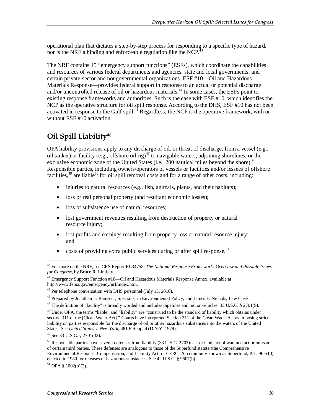operational plan that dictates a step-by-step process for responding to a specific type of hazard, nor is the NRF a binding and enforceable regulation like the NCP.<sup> $43$ </sup>

The NRF contains 15 "emergency support functions" (ESFs), which coordinate the capabilities and resources of various federal departments and agencies, state and local governments, and certain private-sector and nongovernmental organizations. ESF #10—Oil and Hazardous Materials Response—provides federal support in response to an actual or potential discharge and/or uncontrolled release of oil or hazardous materials.<sup>44</sup> In some cases, the ESFs point to existing response frameworks and authorities. Such is the case with ESF #10, which identifies the NCP as the operative structure for oil spill response. According to the DHS, ESF #10 has not been activated in response to the Gulf spill.<sup>45</sup> Regardless, the NCP is the operative framework, with or without ESF #10 activation.

## **Oil Spill Liability46**

OPA liability provisions apply to any discharge of oil, or threat of discharge, from a vessel (e.g., oil tanker) or facility (e.g., offshore oil rig)<sup>47</sup> to navigable waters, adjoining shorelines, or the exclusive economic zone of the United States (i.e., 200 nautical miles beyond the shore).<sup>48</sup> Responsible parties, including owners/operators of vessels or facilities and/or lessees of offshore facilities,  $^{49}$  are liable<sup>50</sup> for oil spill removal costs and for a range of other costs, including:

- injuries to natural resources (e.g., fish, animals, plants, and their habitats);
- loss of real personal property (and resultant economic losses);
- loss of subsistence use of natural resources;
- lost government revenues resulting from destruction of property or natural resource injury;
- lost profits and earnings resulting from property loss or natural resource injury; and
- costs of providing extra public services during or after spill response.<sup>51</sup>

 $51$  OPA § 1002(b)(2).

<sup>43</sup> For more on the NRF, see CRS Report RL34758, *The National Response Framework: Overview and Possible Issues for Congress*, by Bruce R. Lindsay.

<sup>44</sup> Emergency Support Function #10—Oil and Hazardous Materials Response Annex, available at http://www.fema.gov/emergency/nrf/index.htm.

<sup>&</sup>lt;sup>45</sup> Per telephone conversation with DHS personnel (July 13, 2010).

<sup>46</sup> Prepared by Jonathan L. Ramseur, Specialist in Environmental Policy, and James E. Nichols, Law Clerk.

 $47$  The definition of "facility" is broadly worded and includes pipelines and motor vehicles. 33 U.S.C. § 2701(9).

<sup>&</sup>lt;sup>48</sup> Under OPA, the terms "liable" and "liability" are "construed to be the standard of liability which obtains under section 311 of the [Clean Water Act]." Courts have interpreted Section 311 of the Clean Water Act as imposing strict liability on parties responsible for the discharge of oil or other hazardous substances into the waters of the United States. See *United States v. New York*, 481 F.Supp. 4 (D.N.Y. 1979). 49 See 33 U.S.C. § 2701(32).

 $50$  Responsible parties have several defenses from liability (33 U.S.C. 2703): act of God, act of war, and act or omission of certain third parties. These defenses are analogous to those of the Superfund statute (the Comprehensive Environmental Response, Compensation, and Liability Act, or CERCLA, commonly known as Superfund, P.L. 96-510) enacted in 1980 for releases of hazardous substances. See 42 U.S.C. § 9607(b).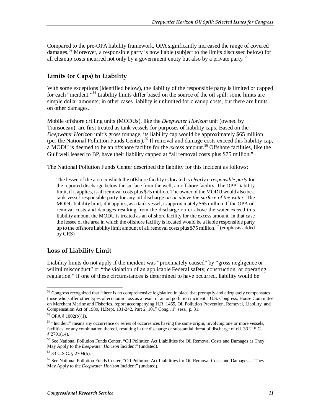Compared to the pre-OPA liability framework, OPA significantly increased the range of covered damages.<sup>52</sup> Moreover, a responsible party is now liable (subject to the limits discussed below) for all cleanup costs incurred not only by a government entity but also by a private party.<sup>53</sup>

#### **Limits (or Caps) to Liability**

With some exceptions (identified below), the liability of the responsible party is limited or capped for each "incident."<sup>54</sup> Liability limits differ based on the source of the oil spill: some limits are simple dollar amounts; in other cases liability is unlimited for cleanup costs, but there are limits on other damages.

Mobile offshore drilling units (MODUs), like the *Deepwater Horizon* unit (owned by Transocean), are first treated as tank vessels for purposes of liability caps. Based on the *Deepwater Horizon* unit's gross tonnage, its liability cap would be approximately \$65 million (per the National Pollution Funds Center).<sup>55</sup> If removal and damage costs exceed this liability cap, a MODU is deemed to be an offshore facility for the *excess* amount.56 Offshore facilities, like the Gulf well leased to BP, have their liability capped at "all removal costs plus \$75 million."

The National Pollution Funds Center described the liability for this incident as follows:

The lessee of the area in which the offshore facility is located is *clearly a responsible party* for the reported discharge below the surface from the well, an offshore facility. The OPA liability limit, if it applies, is all removal costs plus \$75 million. The owner of the MODU would also be a tank vessel responsible party for any oil discharge *on or above the surface of the water*. The MODU liability limit, if it applies, as a tank vessel, is approximately \$65 million. If the OPA oil removal costs and damages resulting from the discharge on or above the water exceed this liability amount the MODU is treated as an offshore facility for the excess amount. In that case the lessee of the area in which the offshore facility is located would be a liable responsible party up to the offshore liability limit amount of all removal costs plus \$75 million.<sup>57</sup> (emphasis added by CRS)

#### **Loss of Liability Limit**

Liability limits do not apply if the incident was "proximately caused" by "gross negligence or willful misconduct" or "the violation of an applicable Federal safety, construction, or operating regulation." If one of these circumstances is determined to have occurred, liability would be

 $52$  Congress recognized that "there is no comprehensive legislation in place that promptly and adequately compensates those who suffer other types of economic loss as a result of an oil pollution incident." U.S. Congress, House Committee on Merchant Marine and Fisheries, report accompanying H.R. 1465, Oil Pollution Prevention, Removal, Liability, and Compensation Act of 1989, H.Rept.  $101-242$ , Part 2,  $101<sup>st</sup>$  Cong.,  $1<sup>st</sup>$  sess., p. 31.

<sup>53</sup> OPA § 1002(b)(1).

<sup>&</sup>lt;sup>54</sup> "Incident" means any occurrence or series of occurrences having the same origin, involving one or more vessels, facilities, or any combination thereof, resulting in the discharge or substantial threat of discharge of oil. 33 U.S.C. § 2701(14).

<sup>&</sup>lt;sup>55</sup> See National Pollution Funds Center, "Oil Pollution Act Liabilities for Oil Removal Costs and Damages as They May Apply to the *Deepwater Horizon* Incident" (undated).

<sup>56 33</sup> U.S.C. § 2704(b).

<sup>&</sup>lt;sup>57</sup> See National Pollution Funds Center, "Oil Pollution Act Liabilities for Oil Removal Costs and Damages as They May Apply to the *Deepwater Horizon* Incident" (undated).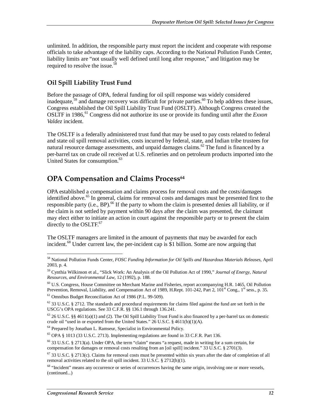unlimited. In addition, the responsible party must report the incident and cooperate with response officials to take advantage of the liability caps. According to the National Pollution Funds Center, liability limits are "not usually well defined until long after response," and litigation may be required to resolve the issue.<sup>58</sup>

#### **Oil Spill Liability Trust Fund**

Before the passage of OPA, federal funding for oil spill response was widely considered inadequate,  $59$  and damage recovery was difficult for private parties.  $60$  To help address these issues, Congress established the Oil Spill Liability Trust Fund (OSLTF). Although Congress created the OSLTF in 1986,<sup>61</sup> Congress did not authorize its use or provide its funding until after the *Exxon Valdez* incident.

The OSLTF is a federally administered trust fund that may be used to pay costs related to federal and state oil spill removal activities, costs incurred by federal, state, and Indian tribe trustees for natural resource damage assessments, and unpaid damages claims.<sup>62</sup> The fund is financed by a per-barrel tax on crude oil received at U.S. refineries and on petroleum products imported into the United States for consumption.<sup>63</sup>

### **OPA Compensation and Claims Process<sup>64</sup>**

OPA established a compensation and claims process for removal costs and the costs/damages identified above.<sup>65</sup> In general, claims for removal costs and damages must be presented first to the responsible party (i.e.,  $BP$ ).<sup>66</sup> If the party to whom the claim is presented denies all liability, or if the claim is not settled by payment within 90 days after the claim was presented, the claimant may elect either to initiate an action in court against the responsible party or to present the claim directly to the  $OSLTF$ .<sup>67</sup>

The OSLTF managers are limited in the amount of payments that may be awarded for each incident.<sup>68</sup> Under current law, the per-incident cap is \$1 billion. Some are now arguing that

<sup>58</sup> National Pollution Funds Center, *FOSC Funding Information for Oil Spills and Hazardous Materials Releases*, April 2003, p. 4.

<sup>59</sup> Cynthia Wilkinson et al., "Slick Work: An Analysis of the Oil Pollution Act of 1990," *Journal of Energy, Natural Resources, and Environmental Law*, 12 (1992), p. 188.

<sup>60</sup> U.S. Congress, House Committee on Merchant Marine and Fisheries, report accompanying H.R. 1465, Oil Pollution Prevention, Removal, Liability, and Compensation Act of 1989, H.Rept. 101-242, Part 2, 101<sup>st</sup> Cong., 1<sup>st</sup> sess., p. 35.

<sup>61</sup> Omnibus Budget Reconciliation Act of 1986 (P.L. 99-509).

 $62$  33 U.S.C. § 2712. The standards and procedural requirements for claims filed against the fund are set forth in the USCG's OPA regulations. See 33 C.F.R. §§ 136.1 through 136.241.

 $63$  26 U.S.C. §§ 4611(a)(1) and (2). The Oil Spill Liability Trust Fund is also financed by a per-barrel tax on domestic crude oil "used in or exported from the United States." 26 U.S.C. § 4611(b)(1)(A).

<sup>&</sup>lt;sup>64</sup> Prepared by Jonathan L. Ramseur, Specialist in Environmental Policy.

<sup>65</sup> OPA § 1013 (33 U.S.C. 2713). Implementing regulations are found in 33 C.F.R. Part 136.

 $66$  33 U.S.C. § 2713(a). Under OPA, the term "claim" means "a request, made in writing for a sum certain, for compensation for damages or removal costs resulting from an [oil spill] incident." 33 U.S.C. § 2701(3).

 $^{67}$  33 U.S.C. § 2713(c). Claims for removal costs must be presented within six years after the date of completion of all removal activities related to the oil spill incident. 33 U.S.C.  $\S 2712(h)(1)$ .

<sup>&</sup>lt;sup>68</sup> "Incident" means any occurrence or series of occurrences having the same origin, involving one or more vessels, (continued...)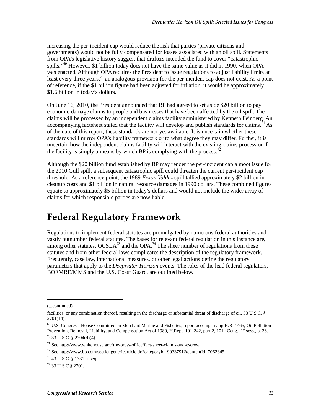increasing the per-incident cap would reduce the risk that parties (private citizens and governments) would not be fully compensated for losses associated with an oil spill. Statements from OPA's legislative history suggest that drafters intended the fund to cover "catastrophic spills."<sup>69</sup> However, \$1 billion today does not have the same value as it did in 1990, when OPA was enacted. Although OPA requires the President to issue regulations to adjust liability limits at least every three years,  $\frac{70}{2}$  an analogous provision for the per-incident cap does not exist. As a point of reference, if the \$1 billion figure had been adjusted for inflation, it would be approximately \$1.6 billion in today's dollars.

On June 16, 2010, the President announced that BP had agreed to set aside \$20 billion to pay economic damage claims to people and businesses that have been affected by the oil spill. The claims will be processed by an independent claims facility administered by Kenneth Feinberg. An accompanying factsheet stated that the facility will develop and publish standards for claims.<sup>71</sup> As of the date of this report, these standards are not yet available. It is uncertain whether these standards will mirror OPA's liability framework or to what degree they may differ. Further, it is uncertain how the independent claims facility will interact with the existing claims process or if the facility is simply a means by which BP is complying with the process.<sup>72</sup>

Although the \$20 billion fund established by BP may render the per-incident cap a moot issue for the 2010 Gulf spill, a subsequent catastrophic spill could threaten the current per-incident cap threshold. As a reference point, the 1989 *Exxon Valdez* spill tallied approximately \$2 billion in cleanup costs and \$1 billion in natural resource damages in 1990 dollars. These combined figures equate to approximately \$5 billion in today's dollars and would not include the wider array of claims for which responsible parties are now liable.

## **Federal Regulatory Framework**

Regulations to implement federal statutes are promulgated by numerous federal authorities and vastly outnumber federal statutes. The bases for relevant federal regulation in this instance are, among other statutes,  $OCSLA^{73}$  and the OPA.<sup>74</sup> The sheer number of regulations from these statutes and from other federal laws complicates the description of the regulatory framework. Frequently, case law, international measures, or other legal actions define the regulatory parameters that apply to the *Deepwater Horizon* events. The roles of the lead federal regulators, BOEMRE/MMS and the U.S. Coast Guard, are outlined below.

1

<sup>(...</sup>continued)

facilities, or any combination thereof, resulting in the discharge or substantial threat of discharge of oil. 33 U.S.C. § 2701(14).

<sup>69</sup> U.S. Congress, House Committee on Merchant Marine and Fisheries, report accompanying H.R. 1465, Oil Pollution Prevention, Removal, Liability, and Compensation Act of 1989, H.Rept. 101-242, part 2, 101<sup>st</sup> Cong., 1<sup>st</sup> sess., p. 36. <sup>70</sup> 33 U.S.C. § 2704(d)(4).

 $71$  See http://www.whitehouse.gov/the-press-office/fact-sheet-claims-and-escrow.

 $^{72}$  See http://www.bp.com/sectiongenericarticle.do?categoryId=9033791&contentId=7062345.

<sup>73 43</sup> U.S.C. § 1331 et seq.

<sup>74 33</sup> U.S.C § 2701.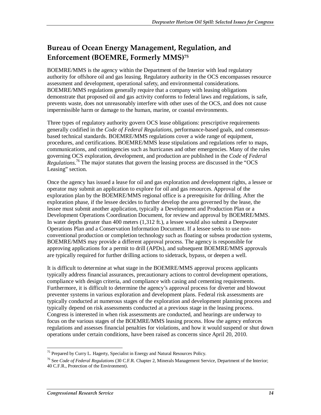## **Bureau of Ocean Energy Management, Regulation, and Enforcement (BOEMRE, Formerly MMS)75**

BOEMRE/MMS is the agency within the Department of the Interior with lead regulatory authority for offshore oil and gas leasing. Regulatory authority in the OCS encompasses resource assessment and development, operational safety, and environmental considerations. BOEMRE/MMS regulations generally require that a company with leasing obligations demonstrate that proposed oil and gas activity conforms to federal laws and regulations, is safe, prevents waste, does not unreasonably interfere with other uses of the OCS, and does not cause impermissible harm or damage to the human, marine, or coastal environments.

Three types of regulatory authority govern OCS lease obligations: prescriptive requirements generally codified in the *Code of Federal Regulations*, performance-based goals, and consensusbased technical standards. BOEMRE/MMS regulations cover a wide range of equipment, procedures, and certifications. BOEMRE/MMS lease stipulations and regulations refer to maps, communications, and contingencies such as hurricanes and other emergencies. Many of the rules governing OCS exploration, development, and production are published in the *Code of Federal Regulations*. 76 The major statutes that govern the leasing process are discussed in the "OCS Leasing" section.

Once the agency has issued a lease for oil and gas exploration and development rights, a lessee or operator may submit an application to explore for oil and gas resources. Approval of the exploration plan by the BOEMRE/MMS regional office is a prerequisite for drilling. After the exploration phase, if the lessee decides to further develop the area governed by the lease, the lessee must submit another application, typically a Development and Production Plan or a Development Operations Coordination Document, for review and approval by BOEMRE/MMS. In water depths greater than 400 meters (1,312 ft.), a lessee would also submit a Deepwater Operations Plan and a Conservation Information Document. If a lessee seeks to use nonconventional production or completion technology such as floating or subsea production systems, BOEMRE/MMS may provide a different approval process. The agency is responsible for approving applications for a permit to drill (APDs), and subsequent BOEMRE/MMS approvals are typically required for further drilling actions to sidetrack, bypass, or deepen a well.

It is difficult to determine at what stage in the BOEMRE/MMS approval process applicants typically address financial assurances, precautionary actions to control development operations, compliance with design criteria, and compliance with casing and cementing requirements. Furthermore, it is difficult to determine the agency's approval process for diverter and blowout preventer systems in various exploration and development plans. Federal risk assessments are typically conducted at numerous stages of the exploration and development planning process and typically depend on risk assessments conducted at a previous stage in the leasing process. Congress is interested in when risk assessments are conducted, and hearings are underway to focus on the various stages of the BOEMRE/MMS leasing process. How the agency enforces regulations and assesses financial penalties for violations, and how it would suspend or shut down operations under certain conditions, have been raised as concerns since April 20, 2010.

<sup>-</sup><sup>75</sup> Prepared by Curry L. Hagerty, Specialist in Energy and Natural Resources Policy.

<sup>76</sup> See *Code of Federal Regulations* (30 C.F.R. Chapter 2, Minerals Management Service, Department of the Interior; 40 C.F.R., Protection of the Environment).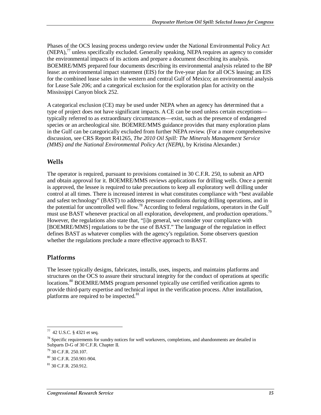Phases of the OCS leasing process undergo review under the National Environmental Policy Act  $(NEPA)$ ,<sup>77</sup> unless specifically excluded. Generally speaking, NEPA requires an agency to consider the environmental impacts of its actions and prepare a document describing its analysis. BOEMRE/MMS prepared four documents describing its environmental analysis related to the BP lease: an environmental impact statement (EIS) for the five-year plan for all OCS leasing; an EIS for the combined lease sales in the western and central Gulf of Mexico; an environmental analysis for Lease Sale 206; and a categorical exclusion for the exploration plan for activity on the Mississippi Canyon block 252.

A categorical exclusion (CE) may be used under NEPA when an agency has determined that a type of project does not have significant impacts. A CE can be used unless certain exceptions typically referred to as extraordinary circumstances—exist, such as the presence of endangered species or an archeological site. BOEMRE/MMS guidance provides that many exploration plans in the Gulf can be categorically excluded from further NEPA review. (For a more comprehensive discussion, see CRS Report R41265, *The 2010 Oil Spill: The Minerals Management Service (MMS) and the National Environmental Policy Act (NEPA)*, by Kristina Alexander.)

#### **Wells**

The operator is required, pursuant to provisions contained in 30 C.F.R. 250, to submit an APD and obtain approval for it. BOEMRE/MMS reviews applications for drilling wells. Once a permit is approved, the lessee is required to take precautions to keep all exploratory well drilling under control at all times. There is increased interest in what constitutes compliance with "best available and safest technology" (BAST) to address pressure conditions during drilling operations, and in the potential for uncontrolled well flow.<sup>78</sup> According to federal regulations, operators in the Gulf must use BAST whenever practical on all exploration, development, and production operations.<sup>79</sup> However, the regulations also state that, "[i]n general, we consider your compliance with [BOEMRE/MMS] regulations to be the use of BAST." The language of the regulation in effect defines BAST as whatever complies with the agency's regulation. Some observers question whether the regulations preclude a more effective approach to BAST.

#### **Platforms**

The lessee typically designs, fabricates, installs, uses, inspects, and maintains platforms and structures on the OCS to assure their structural integrity for the conduct of operations at specific locations.<sup>80</sup> BOEMRE/MMS program personnel typically use certified verification agents to provide third-party expertise and technical input in the verification process. After installation, platforms are required to be inspected. $81$ 

<sup>-</sup>77 42 U.S.C. § 4321 et seq.

 $78$  Specific requirements for sundry notices for well workovers, completions, and abandonments are detailed in Subparts D-G of 30 C.F.R. Chapter II.

<sup>79 30</sup> C.F.R. 250.107.

<sup>80 30</sup> C.F.R. 250.901-904.

 $81$  30 C.F.R. 250.912.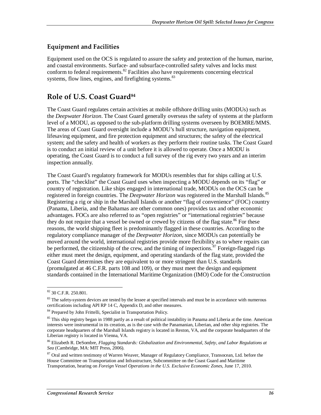#### **Equipment and Facilities**

Equipment used on the OCS is regulated to assure the safety and protection of the human, marine, and coastal environments. Surface- and subsurface-controlled safety valves and locks must conform to federal requirements. $82$  Facilities also have requirements concerning electrical systems, flow lines, engines, and firefighting systems.<sup>83</sup>

### **Role of U.S. Coast Guard84**

The Coast Guard regulates certain activities at mobile offshore drilling units (MODUs) such as the *Deepwater Horizon*. The Coast Guard generally overseas the safety of systems at the platform level of a MODU, as opposed to the sub-platform drilling systems overseen by BOEMRE/MMS. The areas of Coast Guard oversight include a MODU's hull structure, navigation equipment, lifesaving equipment, and fire protection equipment and structures; the safety of the electrical system; and the safety and health of workers as they perform their routine tasks. The Coast Guard is to conduct an initial review of a unit before it is allowed to operate. Once a MODU is operating, the Coast Guard is to conduct a full survey of the rig every two years and an interim inspection annually.

The Coast Guard's regulatory framework for MODUs resembles that for ships calling at U.S. ports. The "checklist" the Coast Guard uses when inspecting a MODU depends on its "flag" or country of registration. Like ships engaged in international trade, MODUs on the OCS can be registered in foreign countries. The *Deepwater Horizon* was registered in the Marshall Islands.<sup>85</sup> Registering a rig or ship in the Marshall Islands or another "flag of convenience" (FOC) country (Panama, Liberia, and the Bahamas are other common ones) provides tax and other economic advantages. FOCs are also referred to as "open registries" or "international registries" because they do not require that a vessel be owned or crewed by citizens of the flag state.<sup>86</sup> For these reasons, the world shipping fleet is predominantly flagged in these countries. According to the regulatory compliance manager of the *Deepwater Horizon*, since MODUs can potentially be moved around the world, international registries provide more flexibility as to where repairs can be performed, the citizenship of the crew, and the timing of inspections.<sup>87</sup> Foreign-flagged rigs either must meet the design, equipment, and operating standards of the flag state, provided the Coast Guard determines they are equivalent to or more stringent than U.S. standards (promulgated at 46 C.F.R. parts 108 and 109), or they must meet the design and equipment standards contained in the International Maritime Organization (IMO) Code for the Construction

<sup>-</sup>82 30 C.F.R. 250.801.

 $83$  The safety-system devices are tested by the lessee at specified intervals and must be in accordance with numerous certifications including API RP 14 C, Appendix D, and other measures.

<sup>84</sup> Prepared by John Frittelli, Specialist in Transportation Policy.

 $85$  This ship registry began in 1988 partly as a result of political instability in Panama and Liberia at the time. American interests were instrumental in its creation, as is the case with the Panamanian, Liberian, and other ship registries. The corporate headquarters of the Marshall Islands registry is located in Reston, VA, and the corporate headquarters of the Liberian registry is located in Vienna, VA.

<sup>86</sup> Elizabeth R. DeSombre, *Flagging Standards: Globalization and Environmental, Safety, and Labor Regulations at Sea* (Cambridge, MA: MIT Press, 2006).

<sup>&</sup>lt;sup>87</sup> Oral and written testimony of Warren Weaver, Manager of Regulatory Compliance, Transocean, Ltd. before the House Committee on Transportation and Infrastructure, Subcommittee on the Coast Guard and Maritime Transportation, hearing on *Foreign Vessel Operations in the U.S. Exclusive Economic Zones*, June 17, 2010.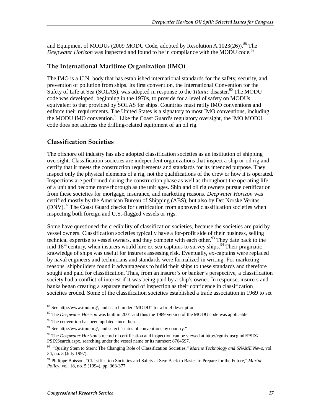and Equipment of MODUs (2009 MODU Code, adopted by Resolution A.1023(26)).<sup>88</sup> The *Deepwater Horizon* was inspected and found to be in compliance with the MODU code.<sup>89</sup>

#### **The International Maritime Organization (IMO)**

The IMO is a U.N. body that has established international standards for the safety, security, and prevention of pollution from ships. Its first convention, the International Convention for the Safety of Life at Sea (SOLAS), was adopted in response to the *Titanic* disaster.<sup>90</sup> The MODU code was developed, beginning in the 1970s, to provide for a level of safety on MODUs equivalent to that provided by SOLAS for ships. Countries must ratify IMO conventions and enforce their requirements. The United States is a signatory to most IMO conventions, including the MODU IMO convention.<sup>91</sup> Like the Coast Guard's regulatory oversight, the IMO MODU code does not address the drilling-related equipment of an oil rig.

#### **Classification Societies**

The offshore oil industry has also adopted classification societies as an institution of shipping oversight. Classification societies are independent organizations that inspect a ship or oil rig and certify that it meets the construction requirements and standards for its intended purpose. They inspect only the physical elements of a rig, not the qualifications of the crew or how it is operated. Inspections are performed during the construction phase as well as throughout the operating life of a unit and become more thorough as the unit ages. Ship and oil rig owners pursue certification from these societies for mortgage, insurance, and marketing reasons. *Deepwater Horizon* was certified mostly by the American Bureau of Shipping (ABS), but also by Det Norske Veritas (DNV).<sup>92</sup> The Coast Guard checks for certification from approved classification societies when inspecting both foreign and U.S.-flagged vessels or rigs.

Some have questioned the credibility of classification societies, because the societies are paid by vessel owners. Classification societies typically have a for-profit side of their business, selling technical expertise to vessel owners, and they compete with each other.<sup>93</sup> They date back to the mid-18<sup>th</sup> century, when insurers would hire ex-sea captains to survey ships.<sup>94</sup> Their pragmatic knowledge of ships was useful for insurers assessing risk. Eventually, ex-captains were replaced by naval engineers and technicians and standards were formalized in writing. For marketing reasons, shipbuilders found it advantageous to build their ships to these standards and therefore sought and paid for classification. Thus, from an insurer's or banker's perspective, a classification society had a conflict of interest if it was being paid by a ship's owner. In response, insurers and banks began creating a separate method of inspection as their confidence in classification societies eroded. Some of the classification societies established a trade association in 1969 to set

<sup>&</sup>lt;u>.</u> 88 See http://www.imo.org/, and search under "MODU" for a brief description.

<sup>89</sup> The *Deepwater Horizon* was built in 2001 and thus the 1989 version of the MODU code was applicable.

<sup>&</sup>lt;sup>90</sup> The convention has been updated since then.

 $91$  See http://www.imo.org/, and select "status of conventions by country."

<sup>92</sup> The *Deepwater Horizon*'s record of certification and inspection can be viewed at http://cgmix.uscg.mil/PSIX/ PSIXSearch.aspx, searching under the vessel name or its number: 8764597.

<sup>93 &</sup>quot;Quality Stem to Stern: The Changing Role of Classification Societies," *Marine Technology and SNAME News*, vol. 34, no. 3 (July 1997).

<sup>94</sup> Philippe Boisson, "Classification Societies and Safety at Sea: Back to Basics to Prepare for the Future," *Marine Policy*, vol. 18, no. 5 (1994), pp. 363-377.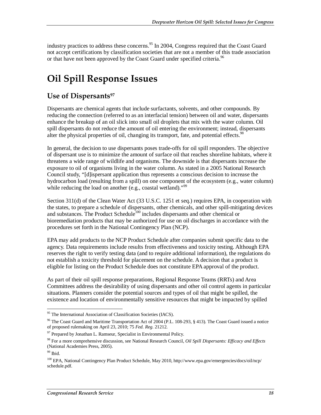industry practices to address these concerns.<sup>95</sup> In 2004, Congress required that the Coast Guard not accept certifications by classification societies that are not a member of this trade association or that have not been approved by the Coast Guard under specified criteria.<sup>96</sup>

## **Oil Spill Response Issues**

### Use of Dispersants<sup>97</sup>

Dispersants are chemical agents that include surfactants, solvents, and other compounds. By reducing the connection (referred to as an interfacial tension) between oil and water, dispersants enhance the breakup of an oil slick into small oil droplets that mix with the water column. Oil spill dispersants do not reduce the amount of oil entering the environment; instead, dispersants alter the physical properties of oil, changing its transport, fate, and potential effects.<sup>98</sup>

In general, the decision to use dispersants poses trade-offs for oil spill responders. The objective of dispersant use is to minimize the amount of surface oil that reaches shoreline habitats, where it threatens a wide range of wildlife and organisms. The downside is that dispersants increase the exposure to oil of organisms living in the water column. As stated in a 2005 National Research Council study, "[d]ispersant application thus represents a conscious decision to increase the hydrocarbon load (resulting from a spill) on one component of the ecosystem (e.g., water column) while reducing the load on another  $(e.g., \text{ coastal wetland})$ ."<sup>99</sup>

Section 311(d) of the Clean Water Act (33 U.S.C. 1251 et seq.) requires EPA, in cooperation with the states, to prepare a schedule of dispersants, other chemicals, and other spill-mitigating devices and substances. The Product Schedule<sup>100</sup> includes dispersants and other chemical or bioremediation products that may be authorized for use on oil discharges in accordance with the procedures set forth in the National Contingency Plan (NCP).

EPA may add products to the NCP Product Schedule after companies submit specific data to the agency. Data requirements include results from effectiveness and toxicity testing. Although EPA reserves the right to verify testing data (and to require additional information), the regulations do not establish a toxicity threshold for placement on the schedule. A decision that a product is eligible for listing on the Product Schedule does not constitute EPA approval of the product.

As part of their oil spill response preparations, Regional Response Teams (RRTs) and Area Committees address the desirability of using dispersants and other oil control agents in particular situations. Planners consider the potential sources and types of oil that might be spilled, the existence and location of environmentally sensitive resources that might be impacted by spilled

<sup>-</sup><sup>95</sup> The International Association of Classification Societies (IACS).

<sup>&</sup>lt;sup>96</sup> The Coast Guard and Maritime Transportation Act of 2004 (P.L. 108-293, § 413). The Coast Guard issued a notice of proposed rulemaking on April 23, 2010; 75 *Fed. Reg.* 21212.

 $97$  Prepared by Jonathan L. Ramseur, Specialist in Environmental Policy.

<sup>98</sup> For a more comprehensive discussion, see National Research Council, *Oil Spill Dispersants: Efficacy and Effects* (National Academies Press, 2005).

<sup>99</sup> Ibid.

<sup>100</sup> EPA, National Contingency Plan Product Schedule, May 2010, http://www.epa.gov/emergencies/docs/oil/ncp/ schedule.pdf.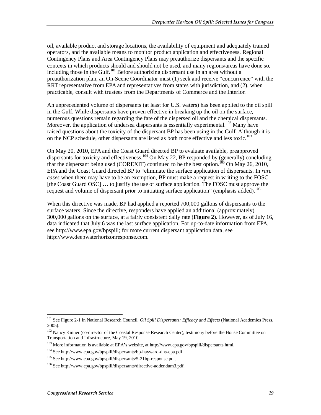oil, available product and storage locations, the availability of equipment and adequately trained operators, and the available means to monitor product application and effectiveness. Regional Contingency Plans and Area Contingency Plans may preauthorize dispersants and the specific contexts in which products should and should not be used, and many regions/areas have done so, including those in the Gulf.101 Before authorizing dispersant use in an area without a preauthorization plan, an On-Scene Coordinator must (1) seek and receive "concurrence" with the RRT representative from EPA and representatives from states with jurisdiction, and (2), when practicable, consult with trustees from the Departments of Commerce and the Interior.

An unprecedented volume of dispersants (at least for U.S. waters) has been applied to the oil spill in the Gulf. While dispersants have proven effective in breaking up the oil on the surface, numerous questions remain regarding the fate of the dispersed oil and the chemical dispersants. Moreover, the application of undersea dispersants is essentially experimental.<sup>102</sup> Many have raised questions about the toxicity of the dispersant BP has been using in the Gulf. Although it is on the NCP schedule, other dispersants are listed as both more effective and less toxic.<sup>103</sup>

On May 20, 2010, EPA and the Coast Guard directed BP to evaluate available, preapproved dispersants for toxicity and effectiveness.<sup>104</sup> On May 22, BP responded by (generally) concluding that the dispersant being used (COREXIT) continued to be the best option.<sup>105</sup> On May 26, 2010, EPA and the Coast Guard directed BP to "eliminate the surface application of dispersants. In *rare cases* when there may have to be an exemption, BP must make a request in writing to the FOSC [the Coast Guard OSC] … to justify the use of surface application. The FOSC must approve the request and volume of dispersant prior to initiating surface application" (emphasis added).<sup>106</sup>

When this directive was made, BP had applied a reported 700,000 gallons of dispersants to the surface waters. Since the directive, responders have applied an additional (approximately) 300,000 gallons on the surface, at a fairly consistent daily rate (**Figure 2**). However, as of July 16, data indicated that July 6 was the last surface application. For up-to-date information from EPA, see http://www.epa.gov/bpspill; for more current dispersant application data, see http://www.deepwaterhorizonresponse.com.

<sup>-</sup>101 See Figure 2-1 in National Research Council, *Oil Spill Dispersants: Efficacy and Effects* (National Academies Press, 2005).

<sup>&</sup>lt;sup>102</sup> Nancy Kinner (co-director of the Coastal Response Research Center), testimony before the House Committee on Transportation and Infrastructure, May 19, 2010.

<sup>&</sup>lt;sup>103</sup> More information is available at EPA's website, at http://www.epa.gov/bpspill/dispersants.html.

<sup>104</sup> See http://www.epa.gov/bpspill/dispersants/bp-hayward-dhs-epa.pdf.

<sup>105</sup> See http://www.epa.gov/bpspill/dispersants/5-21bp-response.pdf.

<sup>106</sup> See http://www.epa.gov/bpspill/dispersants/directive-addendum3.pdf.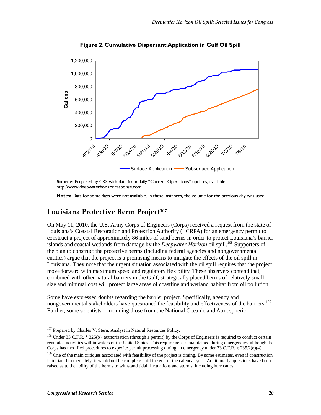

**Figure 2. Cumulative Dispersant Application in Gulf Oil Spill** 

Source: Prepared by CRS with data from daily "Current Operations" updates, available at http://www.deepwaterhorizonresponse.com.

**Notes:** Data for some days were not available. In these instances, the volume for the previous day was used.

#### Louisiana Protective Berm Project<sup>107</sup>

On May 11, 2010, the U.S. Army Corps of Engineers (Corps) received a request from the state of Louisiana's Coastal Restoration and Protection Authority (LCRPA) for an emergency permit to construct a project of approximately 86 miles of sand berms in order to protect Louisiana's barrier islands and coastal wetlands from damage by the *Deepwater Horizon* oil spill.<sup>108</sup> Supporters of the plan to construct the protective berms (including federal agencies and nongovernmental entities) argue that the project is a promising means to mitigate the effects of the oil spill in Louisiana. They note that the urgent situation associated with the oil spill requires that the project move forward with maximum speed and regulatory flexibility. These observers contend that, combined with other natural barriers in the Gulf, strategically placed berms of relatively small size and minimal cost will protect large areas of coastline and wetland habitat from oil pollution.

Some have expressed doubts regarding the barrier project. Specifically, agency and nongovernmental stakeholders have questioned the feasibility and effectiveness of the barriers.<sup>109</sup> Further, some scientists—including those from the National Oceanic and Atmospheric

 $\frac{1}{1}$ <sup>107</sup> Prepared by Charles V. Stern, Analyst in Natural Resources Policy.

<sup>&</sup>lt;sup>108</sup> Under 33 C.F.R. § 325(b), authorization (through a permit) by the Corps of Engineers is required to conduct certain regulated activities within waters of the United States. This requirement is maintained during emergencies, although the Corps has modified procedures to expedite permit processing during an emergency under 33 C.F.R. § 235.2(e)(4).

<sup>&</sup>lt;sup>109</sup> One of the main critiques associated with feasibility of the project is timing. By some estimates, even if construction is initiated immediately, it would not be complete until the end of the calendar year. Additionally, questions have been raised as to the ability of the berms to withstand tidal fluctuations and storms, including hurricanes.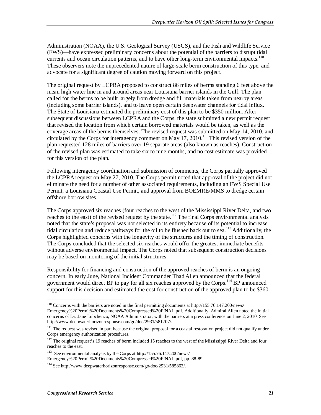Administration (NOAA), the U.S. Geological Survey (USGS), and the Fish and Wildlife Service (FWS)—have expressed preliminary concerns about the potential of the barriers to disrupt tidal currents and ocean circulation patterns, and to have other long-term environmental impacts.<sup>110</sup> These observers note the unprecedented nature of large-scale berm construction of this type, and advocate for a significant degree of caution moving forward on this project.

The original request by LCPRA proposed to construct 86 miles of berms standing 6 feet above the mean high water line in and around areas near Louisiana barrier islands in the Gulf. The plan called for the berms to be built largely from dredge and fill materials taken from nearby areas (including some barrier islands), and to leave open certain deepwater channels for tidal influx. The State of Louisiana estimated the preliminary cost of this plan to be \$350 million. After subsequent discussions between LCPRA and the Corps, the state submitted a new permit request that revised the location from which certain borrowed materials would be taken, as well as the coverage areas of the berms themselves. The revised request was submitted on May 14, 2010, and circulated by the Corps for interagency comment on May 17, 2010.<sup>111</sup> This revised version of the plan requested 128 miles of barriers over 19 separate areas (also known as reaches). Construction of the revised plan was estimated to take six to nine months, and no cost estimate was provided for this version of the plan.

Following interagency coordination and submission of comments, the Corps partially approved the LCPRA request on May 27, 2010. The Corps permit noted that approval of the project did not eliminate the need for a number of other associated requirements, including an FWS Special Use Permit, a Louisiana Coastal Use Permit, and approval from BOEMRE/MMS to dredge certain offshore borrow sites.

The Corps approved six reaches (four reaches to the west of the Mississippi River Delta, and two reaches to the east) of the revised request by the state.<sup>112</sup> The final Corps environmental analysis noted that the state's proposal was not selected in its entirety because of its potential to increase tidal circulation and reduce pathways for the oil to be flushed back out to sea.<sup>113</sup> Additionally, the Corps highlighted concerns with the longevity of the structures and the timing of construction. The Corps concluded that the selected six reaches would offer the greatest immediate benefits without adverse environmental impact. The Corps noted that subsequent construction decisions may be based on monitoring of the initial structures.

Responsibility for financing and construction of the approved reaches of berm is an ongoing concern. In early June, National Incident Commander Thad Allen announced that the federal government would direct BP to pay for all six reaches approved by the Corps.<sup>114</sup> BP announced support for this decision and estimated the cost for construction of the approved plan to be \$360

<sup>-</sup> $110$  Concerns with the barriers are noted in the final permitting documents at http://155.76.147.200/news/ Emergency%20Permit%20Documents%20Compressed%20FINAL.pdf. Additionally, Admiral Allen noted the initial concerns of Dr. Jane Lubchenco, NOAA Administrator, with the barriers at a press conference on June 2, 2010. See http://www.deepwaterhorizonresponse.com/go/doc/2931/581707/.

<sup>&</sup>lt;sup>111</sup> The request was revised in part because the original proposal for a coastal restoration project did not qualify under Corps emergency authorization procedures.

<sup>&</sup>lt;sup>112</sup> The original request's 19 reaches of berm included 15 reaches to the west of the Mississippi River Delta and four reaches to the east.

<sup>113</sup> See environmental analysis by the Corps at http://155.76.147.200/news/ Emergency%20Permit%20Documents%20Compressed%20FINAL.pdf, pp. 88-89.

<sup>114</sup> See http://www.deepwaterhorizonresponse.com/go/doc/2931/585863/.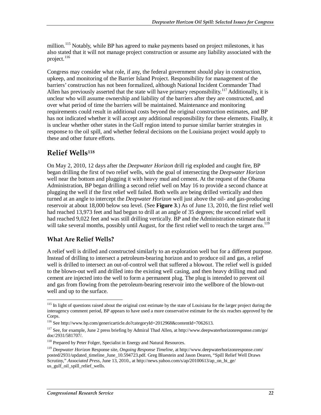million.<sup>115</sup> Notably, while BP has agreed to make payments based on project milestones, it has also stated that it will not manage project construction or assume any liability associated with the project. $116$ 

Congress may consider what role, if any, the federal government should play in construction, upkeep, and monitoring of the Barrier Island Project. Responsibility for management of the barriers' construction has not been formalized, although National Incident Commander Thad Allen has previously asserted that the state will have primary responsibility.<sup>117</sup> Additionally, it is unclear who will assume ownership and liability of the barriers after they are constructed, and over what period of time the barriers will be maintained. Maintenance and monitoring requirements could result in additional costs beyond the original construction estimates, and BP has not indicated whether it will accept any additional responsibility for these elements. Finally, it is unclear whether other states in the Gulf region intend to pursue similar barrier strategies in response to the oil spill, and whether federal decisions on the Louisiana project would apply to these and other future efforts.

### **Relief Wells118**

On May 2, 2010, 12 days after the *Deepwater Horizon* drill rig exploded and caught fire, BP began drilling the first of two relief wells, with the goal of intersecting the *Deepwater Horizon* well near the bottom and plugging it with heavy mud and cement. At the request of the Obama Administration, BP began drilling a second relief well on May 16 to provide a second chance at plugging the well if the first relief well failed. Both wells are being drilled vertically and then turned at an angle to intercept the *Deepwater Horizon* well just above the oil- and gas-producing reservoir at about 18,000 below sea level. (See **Figure 3**.) As of June 13, 2010, the first relief well had reached 13,973 feet and had begun to drill at an angle of 35 degrees; the second relief well had reached 9,022 feet and was still drilling vertically. BP and the Administration estimate that it will take several months, possibly until August, for the first relief well to reach the target area.<sup>119</sup>

#### **What Are Relief Wells?**

A relief well is drilled and constructed similarly to an exploration well but for a different purpose. Instead of drilling to intersect a petroleum-bearing horizon and to produce oil and gas, a relief well is drilled to intersect an out-of-control well that suffered a blowout. The relief well is guided to the blown-out well and drilled into the existing well casing, and then heavy drilling mud and cement are injected into the well to form a permanent plug. The plug is intended to prevent oil and gas from flowing from the petroleum-bearing reservoir into the wellbore of the blown-out well and up to the surface.

<sup>-</sup><sup>115</sup> In light of questions raised about the original cost estimate by the state of Louisiana for the larger project during the interagency comment period, BP appears to have used a more conservative estimate for the six reaches approved by the Corps.

<sup>116</sup> See http://www.bp.com/genericarticle.do?categoryId=2012968&contentId=7062613.

<sup>&</sup>lt;sup>117</sup> See, for example, June 2 press briefing by Admiral Thad Allen, at http://www.deepwaterhorizonresponse.com/go/ doc/2931/581707/.

<sup>&</sup>lt;sup>118</sup> Prepared by Peter Folger, Specialist in Energy and Natural Resources.

<sup>119</sup> *Deepwater Horizon* Response site, *Ongoing Response Timeline*, at http://www.deepwaterhorizonresponse.com/ posted/2931/updated\_timeline\_June\_10.594723.pdf. Greg Bluestein and Jason Dearen, "Spill Relief Well Draws Scrutiny," *Associated Press*, June 13, 2010., at http://news.yahoo.com/s/ap/20100613/ap\_on\_bi\_ge/ us\_gulf\_oil\_spill\_relief\_wells.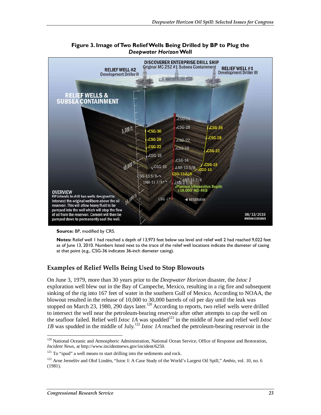

**Figure 3. Image of Two Relief Wells Being Drilled by BP to Plug the**  *Deepwater Horizon* **Well** 

**Source:** BP, modified by CRS.

**Notes:** Relief well 1 had reached a depth of 13,973 feet below sea level and relief well 2 had reached 9,022 feet as of June 13, 2010. Numbers listed next to the trace of the relief well locations indicate the diameter of casing at that point (e.g., CSG-36 indicates 36-inch diameter casing).

#### **Examples of Relief Wells Being Used to Stop Blowouts**

On June 3, 1979, more than 30 years prior to the *Deepwater Horizon* disaster, the *Ixtoc I* exploration well blew out in the Bay of Campeche, Mexico, resulting in a rig fire and subsequent sinking of the rig into 167 feet of water in the southern Gulf of Mexico. According to NOAA, the blowout resulted in the release of 10,000 to 30,000 barrels of oil per day until the leak was stopped on March 23, 1980, 290 days later.<sup>120</sup> According to reports, two relief wells were drilled to intersect the well near the petroleum-bearing reservoir after other attempts to cap the well on the seafloor failed. Relief well *Ixtoc 1A* was spudded<sup>121</sup> in the middle of June and relief well *Ixtoc 1B* was spudded in the middle of July.<sup>122</sup> *Ixtoc 1A* reached the petroleum-bearing reservoir in the

<sup>-</sup><sup>120</sup> National Oceanic and Atmospheric Administration, National Ocean Service, Office of Response and Restoration, *Incident News*, at http://www.incidentnews.gov/incident/6250.

 $121$  To "spud" a well means to start drilling into the sediments and rock.

<sup>122</sup> Arne Jernelöv and Olof Lindén, "Ixtoc I: A Case Study of the World's Largest Oil Spill," *Ambio*, vol. 10, no. 6 (1981).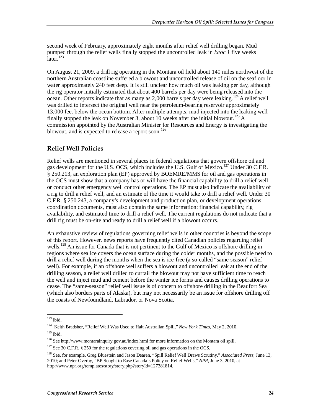second week of February, approximately eight months after relief well drilling began. Mud pumped through the relief wells finally stopped the uncontrolled leak in *Ixtoc 1* five weeks  $\bar{l}$ ater. $\bar{l}^{123}$ 

On August 21, 2009, a drill rig operating in the Montara oil field about 140 miles northwest of the northern Australian coastline suffered a blowout and uncontrolled release of oil on the seafloor in water approximately 240 feet deep. It is still unclear how much oil was leaking per day, although the rig operator initially estimated that about 400 barrels per day were being released into the ocean. Other reports indicate that as many as 2,000 barrels per day were leaking.<sup>124</sup> A relief well was drilled to intersect the original well near the petroleum-bearing reservoir approximately 13,000 feet below the ocean bottom. After multiple attempts, mud injected into the leaking well finally stopped the leak on November 3, about 10 weeks after the initial blowout.<sup>125</sup> A commission appointed by the Australian Minister for Resources and Energy is investigating the blowout, and is expected to release a report soon.<sup>126</sup>

#### **Relief Well Policies**

Relief wells are mentioned in several places in federal regulations that govern offshore oil and gas development for the U.S. OCS, which includes the U.S. Gulf of Mexico.<sup>127</sup> Under 30 C.F.R. § 250.213, an exploration plan (EP) approved by BOEMRE/MMS for oil and gas operations in the OCS must show that a company has or will have the financial capability to drill a relief well or conduct other emergency well control operations. The EP must also indicate the availability of a rig to drill a relief well, and an estimate of the time it would take to drill a relief well. Under 30 C.F.R. § 250.243, a company's development and production plan, or development operations coordination documents, must also contain the same information: financial capability, rig availability, and estimated time to drill a relief well. The current regulations do not indicate that a drill rig must be on-site and ready to drill a relief well if a blowout occurs.

An exhaustive review of regulations governing relief wells in other countries is beyond the scope of this report. However, news reports have frequently cited Canadian policies regarding relief wells.<sup>128</sup> An issue for Canada that is not pertinent to the Gulf of Mexico is offshore drilling in regions where sea ice covers the ocean surface during the colder months, and the possible need to drill a relief well during the months when the sea is ice-free (a so-called "same-season" relief well). For example, if an offshore well suffers a blowout and uncontrolled leak at the end of the drilling season, a relief well drilled to curtail the blowout may not have sufficient time to reach the well and inject mud and cement before the winter ice forms and causes drilling operations to cease. The "same-season" relief well issue is of concern to offshore drilling in the Beaufort Sea (which also borders parts of Alaska), but may not necessarily be an issue for offshore drilling off the coasts of Newfoundland, Labrador, or Nova Scotia.

<sup>-</sup> $123$  Ibid.

<sup>124</sup> Keith Bradsher, "Relief Well Was Used to Halt Australian Spill," *New York Times*, May 2, 2010.

 $125$  Ibid.

<sup>&</sup>lt;sup>126</sup> See http://www.montarainquiry.gov.au/index.html for more information on the Montara oil spill.

 $127$  See 30 C.F.R. § 250 for the regulations covering oil and gas operations in the OCS.

<sup>128</sup> See, for example, Greg Bluestein and Jason Dearen, "Spill Relief Well Draws Scrutiny," *Associated Press*, June 13, 2010; and Peter Overby, "BP Sought to Ease Canada's Policy on Relief Wells," *NPR*, June 3, 2010, at http://www.npr.org/templates/story/story.php?storyId=127381814.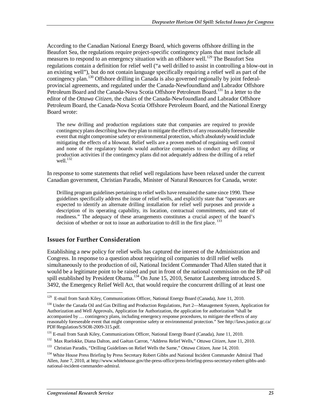According to the Canadian National Energy Board, which governs offshore drilling in the Beaufort Sea, the regulations require project-specific contingency plans that must include all measures to respond to an emergency situation with an offshore well.<sup>129</sup> The Beaufort Sea regulations contain a definition for relief well ("a well drilled to assist in controlling a blow-out in an existing well"), but do not contain language specifically requiring a relief well as part of the contingency plan.<sup>130</sup> Offshore drilling in Canada is also governed regionally by joint federalprovincial agreements, and regulated under the Canada-Newfoundland and Labrador Offshore Petroleum Board and the Canada-Nova Scotia Offshore Petroleum Board.<sup>131</sup> In a letter to the editor of the *Ottawa Citizen*, the chairs of the Canada-Newfoundland and Labrador Offshore Petroleum Board, the Canada-Nova Scotia Offshore Petroleum Board, and the National Energy Board wrote:

The new drilling and production regulations state that companies are required to provide contingency plans describing how they plan to mitigate the effects of any reasonably foreseeable event that might compromise safety or environmental protection, which absolutely would include mitigating the effects of a blowout. Relief wells are a proven method of regaining well control and none of the regulatory boards would authorize companies to conduct any drilling or production activities if the contingency plans did not adequately address the drilling of a relief well. $^{132}$ 

In response to some statements that relief well regulations have been relaxed under the current Canadian government, Christian Paradis, Minister of Natural Resources for Canada, wrote:

Drilling program guidelines pertaining to relief wells have remained the same since 1990. These guidelines specifically address the issue of relief wells, and explicitly state that "operators are expected to identify an alternate drilling installation for relief well purposes and provide a description of its operating capability, its location, contractual commitments, and state of readiness." The adequacy of these arrangements constitutes a crucial aspect of the board's decision of whether or not to issue an authorization to drill in the first place.<sup>133</sup>

#### **Issues for Further Consideration**

Establishing a new policy for relief wells has captured the interest of the Administration and Congress. In response to a question about requiring oil companies to drill relief wells simultaneously to the production of oil, National Incident Commander Thad Allen stated that it would be a legitimate point to be raised and put in front of the national commission on the BP oil spill established by President Obama.<sup>134</sup> On June 15, 2010, Senator Lautenberg introduced S. 3492, the Emergency Relief Well Act, that would require the concurrent drilling of at least one

<sup>-</sup><sup>129</sup> E-mail from Sarah Kiley, Communications Officer, National Energy Board (Canada), June 11, 2010.

<sup>&</sup>lt;sup>130</sup> Under the Canada Oil and Gas Drilling and Production Regulations, Part 2—Management System, Application for Authorization and Well Approvals, Application for Authorization, the application for authorization "shall be accompanied by … contingency plans, including emergency response procedures, to mitigate the effects of any reasonably foreseeable event that might compromise safety or environmental protection." See http://laws.justice.gc.ca/ PDF/Regulation/S/SOR-2009-315.pdf.

<sup>&</sup>lt;sup>131</sup> E-mail from Sarah Kiley, Communications Officer, National Energy Board (Canada), June 11, 2010.

<sup>132</sup> Max Ruelokke, Diana Dalton, and Gaétan Carron, "Address Relief Wells," *Ottawa Citizen*, June 11, 2010.

<sup>133</sup> Christian Paradis, "Drilling Guidelines on Relief Wells the Same," *Ottawa Citizen*, June 14, 2010.

<sup>&</sup>lt;sup>134</sup> White House Press Briefing by Press Secretary Robert Gibbs and National Incident Commander Admiral Thad Allen, June 7, 2010, at http://www.whitehouse.gov/the-press-office/press-briefing-press-secretary-robert-gibbs-andnational-incident-commander-admiral.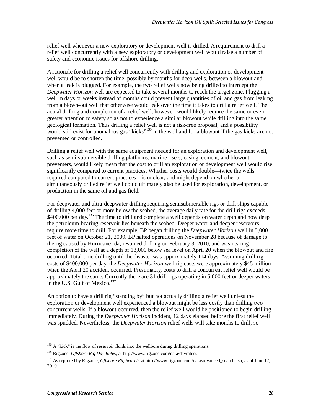relief well whenever a new exploratory or development well is drilled. A requirement to drill a relief well concurrently with a new exploratory or development well would raise a number of safety and economic issues for offshore drilling.

A rationale for drilling a relief well concurrently with drilling and exploration or development well would be to shorten the time, possibly by months for deep wells, between a blowout and when a leak is plugged. For example, the two relief wells now being drilled to intercept the *Deepwater Horizon* well are expected to take several months to reach the target zone. Plugging a well in days or weeks instead of months could prevent large quantities of oil and gas from leaking from a blown-out well that otherwise would leak over the time it takes to drill a relief well. The actual drilling and completion of a relief well, however, would likely require the same or even greater attention to safety so as not to experience a similar blowout while drilling into the same geological formation. Thus drilling a relief well is not a risk-free proposal, and a possibility would still exist for anomalous gas "kicks"<sup>135</sup> in the well and for a blowout if the gas kicks are not prevented or controlled.

Drilling a relief well with the same equipment needed for an exploration and development well, such as semi-submersible drilling platforms, marine risers, casing, cement, and blowout preventers, would likely mean that the cost to drill an exploration or development well would rise significantly compared to current practices. Whether costs would double—twice the wells required compared to current practices—is unclear, and might depend on whether a simultaneously drilled relief well could ultimately also be used for exploration, development, or production in the same oil and gas field.

For deepwater and ultra-deepwater drilling requiring semisubmersible rigs or drill ships capable of drilling 4,000 feet or more below the seabed, the average daily rate for the drill rigs exceeds  $$400,000$  per day.<sup>136</sup> The time to drill and complete a well depends on water depth and how deep the petroleum-bearing reservoir lies beneath the seabed. Deeper water and deeper reservoirs require more time to drill. For example, BP began drilling the *Deepwater Horizon* well in 5,000 feet of water on October 21, 2009. BP halted operations on November 28 because of damage to the rig caused by Hurricane Ida, resumed drilling on February 3, 2010, and was nearing completion of the well at a depth of 18,000 below sea level on April 20 when the blowout and fire occurred. Total time drilling until the disaster was approximately 114 days. Assuming drill rig costs of \$400,000 per day, the *Deepwater Horizon* well rig costs were approximately \$45 million when the April 20 accident occurred. Presumably, costs to drill a concurrent relief well would be approximately the same. Currently there are 31 drill rigs operating in 5,000 feet or deeper waters in the U.S. Gulf of Mexico. $137$ 

An option to have a drill rig "standing by" but not actually drilling a relief well unless the exploration or development well experienced a blowout might be less costly than drilling two concurrent wells. If a blowout occurred, then the relief well would be positioned to begin drilling immediately. During the *Deepwater Horizon* incident, 12 days elapsed before the first relief well was spudded. Nevertheless, the *Deepwater Horizon* relief wells will take months to drill, so

<sup>-</sup> $135$  A "kick" is the flow of reservoir fluids into the wellbore during drilling operations.

<sup>136</sup> Rigzone, *Offshore Rig Day Rates*, at http://www.rigzone.com/data/dayrates/.

<sup>137</sup> As reported by Rigzone, *Offshore Rig Search*, at http://www.rigzone.com/data/advanced\_search.asp, as of June 17, 2010.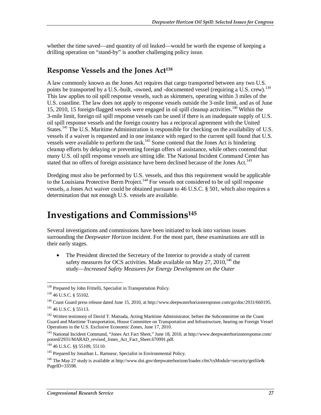whether the time saved—and quantity of oil leaked—would be worth the expense of keeping a drilling operation on "stand-by" is another challenging policy issue.

### **Response Vessels and the Jones Act138**

A law commonly known as the Jones Act requires that cargo transported between any two U.S. points be transported by a U.S.-built, -owned, and -documented vessel (requiring a U.S. crew).<sup>139</sup> This law applies to oil spill response vessels, such as skimmers, operating within 3 miles of the U.S. coastline. The law does not apply to response vessels outside the 3-mile limit, and as of June 15, 2010, 15 foreign-flagged vessels were engaged in oil spill cleanup activities.140 Within the 3-mile limit, foreign oil spill response vessels can be used if there is an inadequate supply of U.S. oil spill response vessels and the foreign country has a reciprocal agreement with the United States.<sup>141</sup> The U.S. Maritime Administration is responsible for checking on the availability of U.S. vessels if a waiver is requested and in one instance with regard to the current spill found that U.S. vessels were available to perform the task.<sup>142</sup> Some contend that the Jones Act is hindering cleanup efforts by delaying or preventing foreign offers of assistance, while others contend that many U.S. oil spill response vessels are sitting idle. The National Incident Command Center has stated that no offers of foreign assistance have been declined because of the Jones Act.<sup>143</sup>

Dredging must also be performed by U.S. vessels, and thus this requirement would be applicable to the Louisiana Protective Berm Project.<sup>144</sup> For vessels not considered to be oil spill response vessels, a Jones Act waiver could be obtained pursuant to 46 U.S.C. § 501, which also requires a determination that not enough U.S. vessels are available.

## **Investigations and Commissions145**

Several investigations and commissions have been initiated to look into various issues surrounding the *Deepwater Horizon* incident. For the most part, these examinations are still in their early stages.

• The President directed the Secretary of the Interior to provide a study of current safety measures for OCS activities. Made available on May  $27$ ,  $2010$ ,  $146$  the study—*Increased Safety Measures for Energy Development on the Outer* 

<sup>-</sup><sup>138</sup> Prepared by John Frittelli, Specialist in Transportation Policy.

<sup>139 46</sup> U.S.C. § 55102*.*

<sup>140</sup> Coast Guard press release dated June 15, 2010, at http://www.deepwaterhorizonresponse.com/go/doc/2931/660195. 141 46 U.S.C. § 55113.

<sup>&</sup>lt;sup>142</sup> Written testimony of David T. Matsuda, Acting Maritime Administrator, before the Subcommittee on the Coast Guard and Maritime Transportation, House Committee on Transportation and Infrastructure, hearing on Foreign Vessel Operations in the U.S. Exclusive Economic Zones, June 17, 2010.

<sup>&</sup>lt;sup>143</sup> National Incident Command, "Jones Act Fact Sheet," June 18, 2010, at http://www.deepwaterhorizonresponse.com/ posted/2931/MARAD\_revised\_Jones\_Act\_Fact\_Sheet.670991.pdf.

<sup>144 46</sup> U.S.C. §§ 55109, 55110.

<sup>&</sup>lt;sup>145</sup> Prepared by Jonathan L. Ramseur, Specialist in Environmental Policy.

<sup>&</sup>lt;sup>146</sup> The May 27 study is available at http://www.doi.gov/deepwaterhorizon/loader.cfm?csModule=security/getfile& PageID=33598.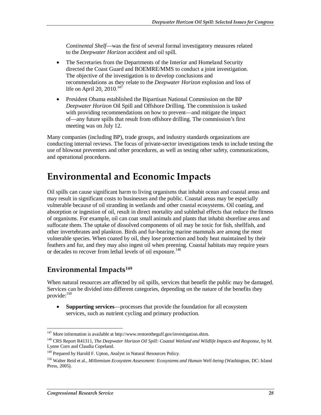*Continental Shelf*—was the first of several formal investigatory measures related to the *Deepwater Horizon* accident and oil spill.

- The Secretaries from the Departments of the Interior and Homeland Security directed the Coast Guard and BOEMRE/MMS to conduct a joint investigation. The objective of the investigation is to develop conclusions and recommendations as they relate to the *Deepwater Horizon* explosion and loss of life on April 20, 2010. $147$
- President Obama established the Bipartisan National Commission on the BP *Deepwater Horizon* Oil Spill and Offshore Drilling. The commission is tasked with providing recommendations on how to prevent—and mitigate the impact of—any future spills that result from offshore drilling. The commission's first meeting was on July 12.

Many companies (including BP), trade groups, and industry standards organizations are conducting internal reviews. The focus of private-sector investigations tends to include testing the use of blowout preventers and other procedures, as well as testing other safety, communications, and operational procedures.

## **Environmental and Economic Impacts**

Oil spills can cause significant harm to living organisms that inhabit ocean and coastal areas and may result in significant costs to businesses and the public. Coastal areas may be especially vulnerable because of oil stranding in wetlands and other coastal ecosystems. Oil coating, and absorption or ingestion of oil, result in direct mortality and sublethal effects that reduce the fitness of organisms. For example, oil can coat small animals and plants that inhabit shoreline areas and suffocate them. The uptake of dissolved components of oil may be toxic for fish, shellfish, and other invertebrates and plankton. Birds and fur-bearing marine mammals are among the most vulnerable species. When coated by oil, they lose protection and body heat maintained by their feathers and fur, and they may also ingest oil when preening. Coastal habitats may require years or decades to recover from lethal levels of oil exposure.<sup>148</sup>

### **Environmental Impacts149**

When natural resources are affected by oil spills, services that benefit the public may be damaged. Services can be divided into different categories, depending on the nature of the benefits they provide:<sup>150</sup>

• **Supporting services**—processes that provide the foundation for all ecosystem services, such as nutrient cycling and primary production.

<sup>-</sup> $147$  More information is available at http://www.restorethegulf.gov/investigation.shtm.

<sup>148</sup> CRS Report R41311, *The Deepwater Horizon Oil Spill: Coastal Wetland and Wildlife Impacts and Response*, by M. Lynne Corn and Claudia Copeland.

<sup>&</sup>lt;sup>149</sup> Prepared by Harold F. Upton, Analyst in Natural Resources Policy.

<sup>150</sup> Walter Reid et al., *Millennium Ecosystem Assessment: Ecosystems and Human Well-being* (Washington, DC: Island Press, 2005).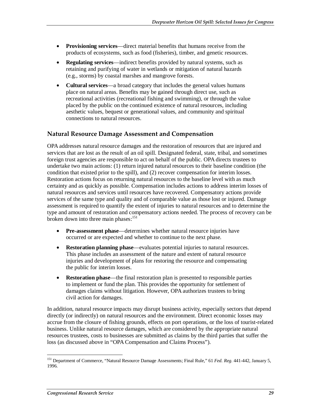- **Provisioning services**—direct material benefits that humans receive from the products of ecosystems, such as food (fisheries), timber, and genetic resources.
- **Regulating services**—indirect benefits provided by natural systems, such as retaining and purifying of water in wetlands or mitigation of natural hazards (e.g., storms) by coastal marshes and mangrove forests.
- **Cultural services**—a broad category that includes the general values humans place on natural areas. Benefits may be gained through direct use, such as recreational activities (recreational fishing and swimming), or through the value placed by the public on the continued existence of natural resources, including aesthetic values, bequest or generational values, and community and spiritual connections to natural resources.

#### **Natural Resource Damage Assessment and Compensation**

OPA addresses natural resource damages and the restoration of resources that are injured and services that are lost as the result of an oil spill. Designated federal, state, tribal, and sometimes foreign trust agencies are responsible to act on behalf of the public. OPA directs trustees to undertake two main actions: (1) return injured natural resources to their baseline condition (the condition that existed prior to the spill), and (2) recover compensation for interim losses. Restoration actions focus on returning natural resources to the baseline level with as much certainty and as quickly as possible. Compensation includes actions to address interim losses of natural resources and services until resources have recovered. Compensatory actions provide services of the same type and quality and of comparable value as those lost or injured. Damage assessment is required to quantify the extent of injuries to natural resources and to determine the type and amount of restoration and compensatory actions needed. The process of recovery can be broken down into three main phases:<sup>151</sup>

- **Pre-assessment phase**—determines whether natural resource injuries have occurred or are expected and whether to continue to the next phase.
- **Restoration planning phase**—evaluates potential injuries to natural resources. This phase includes an assessment of the nature and extent of natural resource injuries and development of plans for restoring the resource and compensating the public for interim losses.
- **Restoration phase**—the final restoration plan is presented to responsible parties to implement or fund the plan. This provides the opportunity for settlement of damages claims without litigation. However, OPA authorizes trustees to bring civil action for damages.

In addition, natural resource impacts may disrupt business activity, especially sectors that depend directly (or indirectly) on natural resources and the environment. Direct economic losses may accrue from the closure of fishing grounds, effects on port operations, or the loss of tourist-related business. Unlike natural resource damages, which are considered by the appropriate natural resources trustees, costs to businesses are submitted as claims by the third parties that suffer the loss (as discussed above in "OPA Compensation and Claims Process").

<sup>151</sup> Department of Commerce, "Natural Resource Damage Assessments; Final Rule," 61 *Fed. Reg.* 441-442, January 5, 1996.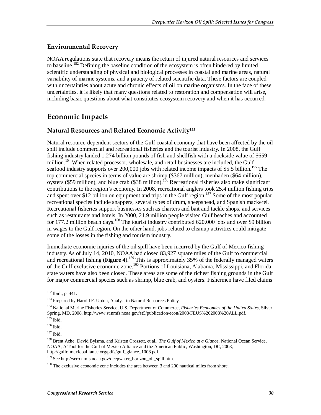#### **Environmental Recovery**

NOAA regulations state that recovery means the return of injured natural resources and services to baseline.<sup>152</sup> Defining the baseline condition of the ecosystem is often hindered by limited scientific understanding of physical and biological processes in coastal and marine areas, natural variability of marine systems, and a paucity of related scientific data. These factors are coupled with uncertainties about acute and chronic effects of oil on marine organisms. In the face of these uncertainties, it is likely that many questions related to restoration and compensation will arise, including basic questions about what constitutes ecosystem recovery and when it has occurred.

### **Economic Impacts**

#### **Natural Resources and Related Economic Activity153**

Natural resource-dependent sectors of the Gulf coastal economy that have been affected by the oil spill include commercial and recreational fisheries and the tourist industry. In 2008, the Gulf fishing industry landed 1.274 billion pounds of fish and shellfish with a dockside value of \$659 million.<sup>154</sup> When related processor, wholesale, and retail businesses are included, the Gulf seafood industry supports over 200,000 jobs with related income impacts of \$5.5 billion.<sup>155</sup> The top commercial species in terms of value are shrimp (\$367 million), menhaden (\$64 million), oysters (\$59 million), and blue crab (\$38 million).<sup>156</sup> Recreational fisheries also make significant contributions to the region's economy. In 2008, recreational anglers took 25.4 million fishing trips and spent over \$12 billion on equipment and trips in the Gulf region.<sup>157</sup> Some of the most popular recreational species include snappers, several types of drum, sheepshead, and Spanish mackerel. Recreational fisheries support businesses such as charters and bait and tackle shops, and services such as restaurants and hotels. In 2000, 21.9 million people visited Gulf beaches and accounted for 177.2 million beach days.<sup>158</sup> The tourist industry contributed 620,000 jobs and over \$9 billion in wages to the Gulf region. On the other hand, jobs related to cleanup activities could mitigate some of the losses in the fishing and tourism industry.

Immediate economic injuries of the oil spill have been incurred by the Gulf of Mexico fishing industry. As of July 14, 2010, NOAA had closed 83,927 square miles of the Gulf to commercial and recreational fishing (Figure 4).<sup>159</sup> This is approximately 35% of the federally managed waters of the Gulf exclusive economic zone.<sup>160</sup> Portions of Louisiana, Alabama, Mississippi, and Florida state waters have also been closed. These areas are some of the richest fishing grounds in the Gulf for major commercial species such as shrimp, blue crab, and oysters. Fishermen have filed claims

<u>.</u>

<sup>152</sup> Ibid., p. 441.

<sup>&</sup>lt;sup>153</sup> Prepared by Harold F. Upton, Analyst in Natural Resources Policy.

<sup>154</sup> National Marine Fisheries Service, U.S. Department of Commerce, *Fisheries Economics of the United States*, Silver Spring, MD, 2008, http://www.st.nmfs.noaa.gov/st5/publication/econ/2008/FEUS%202008%20ALL.pdf. 155 Ibid.

<sup>156</sup> Ibid.

 $157$  Ibid.

<sup>158</sup> Brent Ache, David Bylsma, and Kristen Crossett, et al., *The Gulf of Mexico at a Glance*, National Ocean Service, NOAA, A Tool for the Gulf of Mexico Alliance and the American Public, Washington, DC, 2008, http://gulfofmexicoalliance.org/pdfs/gulf\_glance\_1008.pdf.

<sup>&</sup>lt;sup>159</sup> See http://sero.nmfs.noaa.gov/deepwater\_horizon\_oil\_spill.htm.

<sup>&</sup>lt;sup>160</sup> The exclusive economic zone includes the area between 3 and 200 nautical miles from shore.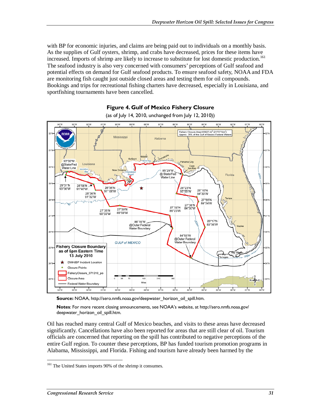with BP for economic injuries, and claims are being paid out to individuals on a monthly basis. As the supplies of Gulf oysters, shrimp, and crabs have decreased, prices for these items have increased. Imports of shrimp are likely to increase to substitute for lost domestic production.<sup>161</sup> The seafood industry is also very concerned with consumers' perceptions of Gulf seafood and potential effects on demand for Gulf seafood products. To ensure seafood safety, NOAA and FDA are monitoring fish caught just outside closed areas and testing them for oil compounds. Bookings and trips for recreational fishing charters have decreased, especially in Louisiana, and sportfishing tournaments have been cancelled.



**Figure 4. Gulf of Mexico Fishery Closure**  (as of July 14, 2010, unchanged from July 12, 2010))

**Source:** NOAA, http://sero.nmfs.noaa.gov/deepwater horizon oil spill.htm.

**Notes**: For more recent closing announcements, see NOAA's website, at http://sero.nmfs.noaa.gov/ deepwater\_horizon\_oil\_spill.htm.

Oil has reached many central Gulf of Mexico beaches, and visits to these areas have decreased significantly. Cancellations have also been reported for areas that are still clear of oil. Tourism officials are concerned that reporting on the spill has contributed to negative perceptions of the entire Gulf region. To counter these perceptions, BP has funded tourism promotion programs in Alabama, Mississippi, and Florida. Fishing and tourism have already been harmed by the

<sup>-</sup><sup>161</sup> The United States imports 90% of the shrimp it consumes.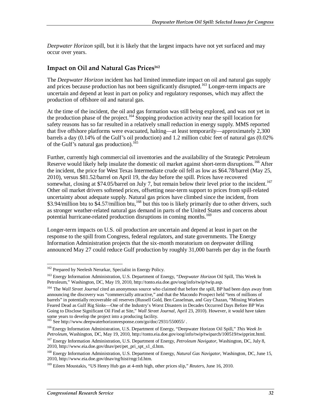*Deepwater Horizon* spill, but it is likely that the largest impacts have not yet surfaced and may occur over years.

#### **Impact on Oil and Natural Gas Prices162**

The *Deepwater Horizon* incident has had limited immediate impact on oil and natural gas supply and prices because production has not been significantly disrupted.<sup>163</sup> Longer-term impacts are uncertain and depend at least in part on policy and regulatory responses, which may affect the production of offshore oil and natural gas.

At the time of the incident, the oil and gas formation was still being explored, and was not yet in the production phase of the project.<sup>164</sup> Stopping production activity near the spill location for safety reasons has so far resulted in a relatively small reduction in energy supply. MMS reported that five offshore platforms were evacuated, halting—at least temporarily—approximately 2,300 barrels a day (0.14% of the Gulf's oil production) and 1.2 million cubic feet of natural gas (0.02% of the Gulf's natural gas production).<sup>165</sup>

Further, currently high commercial oil inventories and the availability of the Strategic Petroleum Reserve would likely help insulate the domestic oil market against short-term disruptions.<sup>166</sup> After the incident, the price for West Texas Intermediate crude oil fell as low as \$64.78/barrel (May 25, 2010), versus \$81.52/barrel on April 19, the day before the spill. Prices have recovered somewhat, closing at \$74.05/barrel on July 7, but remain below their level prior to the incident.<sup>167</sup> Other oil market drivers softened prices, offsetting near-term support to prices from spill-related uncertainty about adequate supply. Natural gas prices have climbed since the incident, from \$3.94/million btu to \$4.57/million btu,<sup>168</sup> but this too is likely primarily due to other drivers, such as stronger weather-related natural gas demand in parts of the United States and concerns about potential hurricane-related production disruptions in coming months.<sup>169</sup>

Longer-term impacts on U.S. oil production are uncertain and depend at least in part on the response to the spill from Congress, federal regulators, and state governments. The Energy Information Administration projects that the six-month moratorium on deepwater drilling announced May 27 could reduce Gulf production by roughly 31,000 barrels per day in the fourth

<sup>&</sup>lt;sup>162</sup> Prepared by Neelesh Nerurkar, Specialist in Energy Policy.

<sup>163</sup> Energy Information Administration, U.S. Department of Energy, "*Deepwater Horizon* Oil Spill, This Week In Petroleum," Washington, DC, May 19, 2010, http://tonto.eia.doe.gov/oog/info/twip/twip.asp.

<sup>&</sup>lt;sup>164</sup> The *Wall Street Journal* cited an anonymous source who claimed that before the spill, BP had been days away from announcing the discovery was "commercially attractive," and that the Macondo Prospect held "tens of millions of barrels" in potentially recoverable oil reserves (Russell Gold, Ben Casselman, and Guy Chazan, "Missing Workers Feared Dead as Gulf Rig Sinks—One of the Industry's Worst Disasters in Decades Occurred Days Before BP Was Going to Disclose Significant Oil Find at Site," *Wall Street Journal*, April 23, 2010). However, it would have taken some years to develop the project into a producing facility.

<sup>&</sup>lt;sup>165</sup> See http://www.deepwaterhorizonresponse.com/go/doc/2931/550055/.

<sup>166</sup> Energy Information Administration, U.S. Department of Energy, "Deepwater Horizon Oil Spill," *This Week In Petroleum*, Washington, DC, May 19, 2010, http://tonto.eia.doe.gov/oog/info/twip/twiparch/100519/twipprint.html.

<sup>167</sup> Energy Information Administration, U.S. Department of Energy, *Petroleum Navigator*, Washington, DC, July 8, 2010, http://www.eia.doe.gov/dnav/pet/pet\_pri\_spt\_s1\_d.htm.

<sup>168</sup> Energy Information Administration, U.S. Department of Energy, *Natural Gas Navigator*, Washington, DC, June 15, 2010, http://www.eia.doe.gov/dnav/ng/hist/rngc1d.htm.

<sup>169</sup> Eileen Moustakis, "US Henry Hub gas at 4-mth high, other prices slip," *Reuters*, June 16, 2010.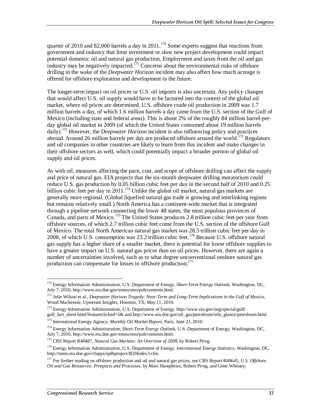quarter of 2010 and 82,000 barrels a day in  $2011$ .<sup>170</sup> Some experts suggest that reactions from government and industry that limit investment or slow new project development could impact potential domestic oil and natural gas production. Employment and taxes from the oil and gas industry may be negatively impacted.<sup>171</sup> Concerns about the environmental risks of offshore drilling in the wake of the *Deepwater Horizon* incident may also affect how much acreage is offered for offshore exploration and development in the future.

The longer-term impact on oil prices or U.S. oil imports is also uncertain. Any policy changes that would affect U.S. oil supply would have to be factored into the context of the global oil market, where oil prices are determined. U.S. offshore crude oil production in 2009 was 1.7 million barrels a day, of which 1.6 million barrels a day came from the U.S. section of the Gulf of Mexico (including state and federal areas). This is about 2% of the roughly 84 million barrel-perday global oil market in 2009 (of which the United States consumed about 19 million barrels daily).172 However, the *Deepwater Horizon* incident is also influencing policy and practices abroad. Around 26 million barrels per day are produced offshore around the world.<sup>173</sup> Regulators and oil companies in other countries are likely to learn from this incident and make changes in their offshore sectors as well, which could potentially impact a broader portion of global oil supply and oil prices.

As with oil, measures affecting the pace, cost, and scope of offshore drilling can affect the supply and price of natural gas. EIA projects that the six-month deepwater drilling moratorium could reduce U.S. gas production by 0.05 billion cubic feet per day in the second half of 2010 and 0.25 billion cubic feet per day in 2011.<sup>174</sup> Unlike the global oil market, natural gas markets are generally more regional. (Global liquefied natural gas trade is growing and interlinking regions but remains relatively small.) North America has a continent-wide market that is integrated through a pipeline network connecting the lower 48 states, the most populous provinces of Canada, and parts of Mexico.175 The United States produces 2.8 trillion cubic feet per year from offshore sources, of which 2.7 trillion cubic feet come from the U.S. section of the offshore Gulf of Mexico. The total North American natural gas market was 28.5 trillion cubic feet per day in 2008, of which U.S. consumption was 23.2 trillion cubic feet.<sup>176</sup> Because U.S. offshore natural gas supply has a higher share of a smaller market, there is potential for lower offshore supplies to have a greater impact on U.S. natural gas prices than on oil prices. However, there are again a number of uncertainties involved, such as to what degree unconventional onshore natural gas production can compensate for losses in offshore production.<sup>177</sup>

173 International Energy Agency, *Monthly Oil Market Report*, Paris, June 23, 2010.

<sup>-</sup>170 Energy Information Administration, U.S. Department of Energy, *Short-Term Energy Outlook*, Washington, DC, July 7, 2010, http://www.eia.doe.gov/emeu/steo/pub/contents.html.

<sup>171</sup> Julie Wilson et al., *Deepwater Horizon Tragedy: Near-Term and Long-Term Implications in the Gulf of Mexico*, Wood Mackenzie, Upstream Insights, Houston, TX, May 11, 2010.

<sup>172</sup> Energy Information Administration, U.S. Department of Energy, http://www.eia.gov/oog/special/gulf/ gulf\_fact\_sheet.html?featureclicked=5& and http://www.eia.doe.gov/oil\_gas/petroleum/info\_glance/petroleum.html.

<sup>&</sup>lt;sup>174</sup> Energy Information Administration, *Short-Term Energy Outlook*, U.S. Department of Energy, Washington, DC, July 7, 2010, http://www.eia.doe.gov/emeu/steo/pub/contents.html.

<sup>&</sup>lt;sup>175</sup> CRS Report R40487, *Natural Gas Markets: An Overview of 2008*, by Robert Pirog.

<sup>176</sup> Energy Information Administration, U.S. Department of Energy, *International Energy Statistics*, Washington, DC, http://tonto.eia.doe.gov/cfapps/ipdbproject/IEDIndex3.cfm.

<sup>177</sup> For further reading on offshore production and oil and natural gas prices, see CRS Report R40645, *U.S. Offshore Oil and Gas Resources: Prospects and Processes*, by Marc Humphries, Robert Pirog, and Gene Whitney.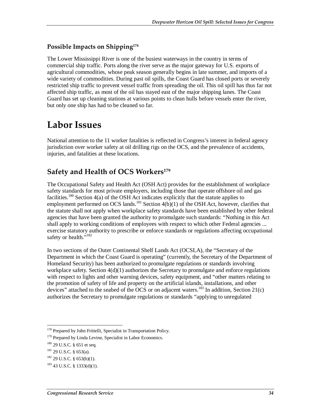#### **Possible Impacts on Shipping178**

The Lower Mississippi River is one of the busiest waterways in the country in terms of commercial ship traffic. Ports along the river serve as the major gateway for U.S. exports of agricultural commodities, whose peak season generally begins in late summer, and imports of a wide variety of commodities. During past oil spills, the Coast Guard has closed ports or severely restricted ship traffic to prevent vessel traffic from spreading the oil. This oil spill has thus far not affected ship traffic, as most of the oil has stayed east of the major shipping lanes. The Coast Guard has set up cleaning stations at various points to clean hulls before vessels enter the river, but only one ship has had to be cleaned so far.

## **Labor Issues**

National attention to the 11 worker fatalities is reflected in Congress's interest in federal agency jurisdiction over worker safety at oil drilling rigs on the OCS, and the prevalence of accidents, injuries, and fatalities at these locations.

### **Safety and Health of OCS Workers179**

The Occupational Safety and Health Act (OSH Act) provides for the establishment of workplace safety standards for most private employers, including those that operate offshore oil and gas facilities.<sup>180</sup> Section 4(a) of the OSH Act indicates explicitly that the statute applies to employment performed on OCS lands.<sup>181</sup> Section  $4(b)(1)$  of the OSH Act, however, clarifies that the statute shall not apply when workplace safety standards have been established by other federal agencies that have been granted the authority to promulgate such standards: "Nothing in this Act shall apply to working conditions of employees with respect to which other Federal agencies ... exercise statutory authority to prescribe or enforce standards or regulations affecting occupational safety or health."<sup>182</sup>

In two sections of the Outer Continental Shelf Lands Act (OCSLA), the "Secretary of the Department in which the Coast Guard is operating" (currently, the Secretary of the Department of Homeland Security) has been authorized to promulgate regulations or standards involving workplace safety. Section  $4(d)(1)$  authorizes the Secretary to promulgate and enforce regulations with respect to lights and other warning devices, safety equipment, and "other matters relating to the promotion of safety of life and property on the artificial islands, installations, and other devices" attached to the seabed of the OCS or on adjacent waters.<sup>183</sup> In addition, Section 21(c) authorizes the Secretary to promulgate regulations or standards "applying to unregulated

<sup>-</sup><sup>178</sup> Prepared by John Frittelli, Specialist in Transportation Policy.

<sup>&</sup>lt;sup>179</sup> Prepared by Linda Levine, Specialist in Labor Economics.

 $180$  29 U.S.C. § 651 et seq.

<sup>181 29</sup> U.S.C. § 653(a).

 $182$  29 U.S.C. § 653(b)(1).

 $183$  43 U.S.C. § 1333(d)(1).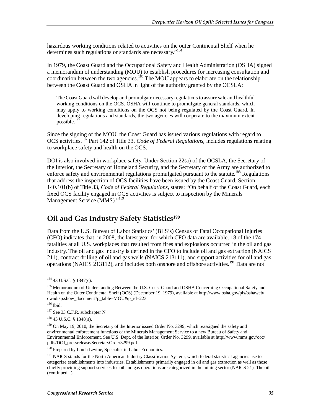hazardous working conditions related to activities on the outer Continental Shelf when he determines such regulations or standards are necessary."184

In 1979, the Coast Guard and the Occupational Safety and Health Administration (OSHA) signed a memorandum of understanding (MOU) to establish procedures for increasing consultation and coordination between the two agencies.<sup>185</sup> The MOU appears to elaborate on the relationship between the Coast Guard and OSHA in light of the authority granted by the OCSLA:

The Coast Guard will develop and promulgate necessary regulations to assure safe and healthful working conditions on the OCS. OSHA will continue to promulgate general standards, which may apply to working conditions on the OCS not being regulated by the Coast Guard. In developing regulations and standards, the two agencies will cooperate to the maximum extent possible.<sup>186</sup>

Since the signing of the MOU, the Coast Guard has issued various regulations with regard to OCS activities.187 Part 142 of Title 33, *Code of Federal Regulations*, includes regulations relating to workplace safety and health on the OCS.

DOI is also involved in workplace safety. Under Section 22(a) of the OCSLA, the Secretary of the Interior, the Secretary of Homeland Security, and the Secretary of the Army are authorized to enforce safety and environmental regulations promulgated pursuant to the statute.<sup>188</sup> Regulations that address the inspection of OCS facilities have been issued by the Coast Guard. Section 140.101(b) of Title 33, *Code of Federal Regulations*, states: "On behalf of the Coast Guard, each fixed OCS facility engaged in OCS activities is subject to inspection by the Minerals Management Service (MMS)."<sup>189</sup>

### **Oil and Gas Industry Safety Statistics190**

Data from the U.S. Bureau of Labor Statistics' (BLS's) Census of Fatal Occupational Injuries (CFO) indicates that, in 2008, the latest year for which CFO data are available, 18 of the 174 fatalities at all U.S. workplaces that resulted from fires and explosions occurred in the oil and gas industry. The oil and gas industry is defined in the CFO to include oil and gas extraction (NAICS 211), contract drilling of oil and gas wells (NAICS 213111), and support activities for oil and gas operations (NAICS 213112), and includes both onshore and offshore activities.<sup>191</sup> Data are not

<sup>-</sup><sup>184</sup> 43 U.S.C. § 1347(c).

<sup>&</sup>lt;sup>185</sup> Memorandum of Understanding Between the U.S. Coast Guard and OSHA Concerning Occupational Safety and Health on the Outer Continental Shelf (OCS) (December 19, 1979), available at http://www.osha.gov/pls/oshaweb/ owadisp.show\_document?p\_table=MOU&p\_id=223.

<sup>186</sup> Ibid.

<sup>187</sup> See 33 C.F.R. subchapter N.

<sup>188 43</sup> U.S.C. § 1348(a).

<sup>&</sup>lt;sup>189</sup> On May 19, 2010, the Secretary of the Interior issued Order No. 3299, which reassigned the safety and environmental enforcement functions of the Minerals Management Service to a new Bureau of Safety and Environmental Enforcement. See U.S. Dept. of the Interior, Order No. 3299, available at http://www.mms.gov/ooc/ pdfs/DOI\_pressrelease/SecretaryOrder3299.pdf.

<sup>&</sup>lt;sup>190</sup> Prepared by Linda Levine, Specialist in Labor Economics.

<sup>&</sup>lt;sup>191</sup> NAICS stands for the North American Industry Classification System, which federal statistical agencies use to categorize establishments into industries. Establishments primarily engaged in oil and gas extraction as well as those chiefly providing support services for oil and gas operations are categorized in the mining sector (NAICS 21). The oil (continued...)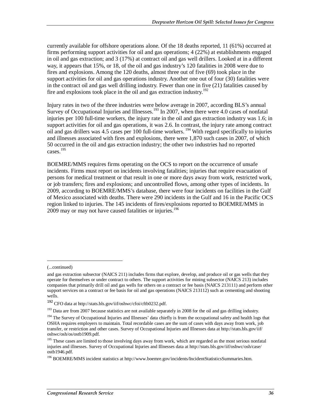currently available for offshore operations alone. Of the 18 deaths reported, 11 (61%) occurred at firms performing support activities for oil and gas operations; 4 (22%) at establishments engaged in oil and gas extraction; and 3 (17%) at contract oil and gas well drillers. Looked at in a different way, it appears that 15%, or 18, of the oil and gas industry's 120 fatalities in 2008 were due to fires and explosions. Among the 120 deaths, almost three out of five (69) took place in the support activities for oil and gas operations industry. Another one out of four (30) fatalities were in the contract oil and gas well drilling industry. Fewer than one in five (21) fatalities caused by fire and explosions took place in the oil and gas extraction industry.<sup>192</sup>

Injury rates in two of the three industries were below average in 2007, according BLS's annual Survey of Occupational Injuries and Illnesses.<sup>193</sup> In 2007, when there were 4.0 cases of nonfatal injuries per 100 full-time workers, the injury rate in the oil and gas extraction industry was 1.6; in support activities for oil and gas operations, it was 2.6. In contrast, the injury rate among contract oil and gas drillers was 4.5 cases per 100 full-time workers. 194 With regard specifically to injuries and illnesses associated with fires and explosions, there were 1,870 such cases in 2007, of which 50 occurred in the oil and gas extraction industry; the other two industries had no reported cases.<sup>195</sup>

BOEMRE/MMS requires firms operating on the OCS to report on the occurrence of unsafe incidents. Firms must report on incidents involving fatalities; injuries that require evacuation of persons for medical treatment or that result in one or more days away from work, restricted work, or job transfers; fires and explosions; and uncontrolled flows, among other types of incidents. In 2009, according to BOEMRE/MMS's database, there were four incidents on facilities in the Gulf of Mexico associated with deaths. There were 290 incidents in the Gulf and 16 in the Pacific OCS region linked to injuries. The 145 incidents of fires/explosions reported to BOEMRE/MMS in 2009 may or may not have caused fatalities or injuries.<sup>196</sup>

<u>.</u>

<sup>(...</sup>continued)

and gas extraction subsector (NAICS 211) includes firms that explore, develop, and produce oil or gas wells that they operate for themselves or under contract to others. The support activities for mining subsector (NAICS 213) includes companies that primarily drill oil and gas wells for others on a contract or fee basis (NAICS 213111) and perform other support services on a contract or fee basis for oil and gas operations (NAICS 213112) such as cementing and shooting wells.

 $^{192}$  CFO data at http://stats.bls.gov/iif/oshwc/cfoi/cftb0232.pdf.

<sup>&</sup>lt;sup>193</sup> Data are from 2007 because statistics are not available separately in 2008 for the oil and gas drilling industry.

<sup>&</sup>lt;sup>194</sup> The Survey of Occupational Injuries and Illnesses' data chiefly is from the occupational safety and health logs that OSHA requires employers to maintain. Total recordable cases are the sum of cases with days away from work, job transfer, or restriction and other cases. Survey of Occupational Injuries and Illnesses data at http://stats.bls.gov/iif/ oshwc/osh/os/ostb1909.pdf.

<sup>&</sup>lt;sup>195</sup> These cases are limited to those involving days away from work, which are regarded as the most serious nonfatal injuries and illnesses. Survey of Occupational Injuries and Illnesses data at http://stats.bls.gov/iif/oshwc/osh/case/ ostb1946.pdf.

<sup>196</sup> BOEMRE/MMS incident statistics at http://www.boemre.gov/incidents/IncidentStatisticsSummaries.htm.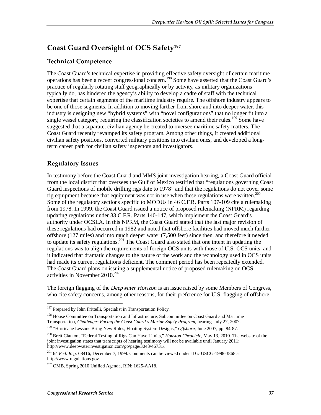## **Coast Guard Oversight of OCS Safety197**

#### **Technical Competence**

The Coast Guard's technical expertise in providing effective safety oversight of certain maritime operations has been a recent congressional concern.198 Some have asserted that the Coast Guard's practice of regularly rotating staff geographically or by activity, as military organizations typically do, has hindered the agency's ability to develop a cadre of staff with the technical expertise that certain segments of the maritime industry require. The offshore industry appears to be one of those segments. In addition to moving farther from shore and into deeper water, this industry is designing new "hybrid systems" with "novel configurations" that no longer fit into a single vessel category, requiring the classification societies to amend their rules.<sup>199</sup> Some have suggested that a separate, civilian agency be created to oversee maritime safety matters. The Coast Guard recently revamped its safety program. Among other things, it created additional civilian safety positions, converted military positions into civilian ones, and developed a longterm career path for civilian safety inspectors and investigators.

#### **Regulatory Issues**

In testimony before the Coast Guard and MMS joint investigation hearing, a Coast Guard official from the local district that oversees the Gulf of Mexico testified that "regulations governing Coast Guard inspections of mobile drilling rigs date to 1978" and that the regulations do not cover some rig equipment because that equipment was not in use when these regulations were written.<sup>200</sup> Some of the regulatory sections specific to MODUs in 46 C.F.R. Parts 107-109 cite a rulemaking from 1978. In 1999, the Coast Guard issued a notice of proposed rulemaking (NPRM) regarding updating regulations under 33 C.F.R. Parts 140-147, which implement the Coast Guard's authority under OCSLA. In this NPRM, the Coast Guard stated that the last major revision of these regulations had occurred in 1982 and noted that offshore facilities had moved much farther offshore (127 miles) and into much deeper water (7,500 feet) since then, and therefore it needed to update its safety regulations.<sup>201</sup> The Coast Guard also stated that one intent in updating the regulations was to align the requirements of foreign OCS units with those of U.S. OCS units, and it indicated that dramatic changes to the nature of the work and the technology used in OCS units had made its current regulations deficient. The comment period has been repeatedly extended. The Coast Guard plans on issuing a supplemental notice of proposed rulemaking on OCS activities in November  $2010^{202}$ 

The foreign flagging of the *Deepwater Horizon* is an issue raised by some Members of Congress, who cite safety concerns, among other reasons, for their preference for U.S. flagging of offshore

<sup>-</sup><sup>197</sup> Prepared by John Frittelli, Specialist in Transportation Policy.

<sup>&</sup>lt;sup>198</sup> House Committee on Transportation and Infrastructure, Subcommittee on Coast Guard and Maritime Transportation, *Challenges Facing the Coast Guard's Marine Safety Program*, hearing, July 27, 2007.

<sup>199 &</sup>quot;Hurricane Lessons Bring New Rules, Floating System Designs," *Offshore,* June 2007, pp. 84-87.

<sup>200</sup> Brett Clanton, "Federal Testing of Rigs Can Have Limits," *Houston Chronicle*, May 13, 2010. The website of the joint investigation states that transcripts of hearing testimony will not be available until January 2011; http://www.deepwaterinvestigation.com/go/page/3043/46731/.

<sup>201 64</sup> *Fed. Reg.* 68416, December 7, 1999. Comments can be viewed under ID # USCG-1998-3868 at http://www.regulations.gov.

 $202$  OMB, Spring 2010 Unified Agenda, RIN: 1625-AA18.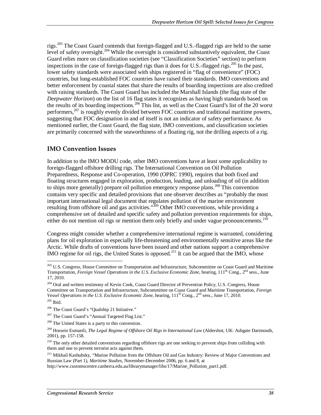rigs.<sup>203</sup> The Coast Guard contends that foreign-flagged and U.S.-flagged rigs are held to the same level of safety oversight.<sup>204</sup> While the oversight is considered substantively equivalent, the Coast Guard relies more on classification societies (see "Classification Societies" section) to perform inspections in the case of foreign-flagged rigs than it does for U.S.-flagged rigs.<sup>205</sup> In the past, lower safety standards were associated with ships registered in "flag of convenience" (FOC) countries, but long-established FOC countries have raised their standards. IMO conventions and better enforcement by coastal states that share the results of boarding inspections are also credited with raising standards. The Coast Guard has included the Marshall Islands (the flag state of the *Deepwater Horizon*) on the list of 16 flag states it recognizes as having high standards based on the results of its boarding inspections.206 This list, as well as the Coast Guard's list of the 20 worst performers,  $207$  is roughly evenly divided between FOC countries and traditional maritime powers, suggesting that FOC designation in and of itself is not an indicator of safety performance. As mentioned earlier, the Coast Guard, the flag state, IMO conventions, and classification societies are primarily concerned with the seaworthiness of a floating rig, not the drilling aspects of a rig.

#### **IMO Convention Issues**

In addition to the IMO MODU code, other IMO conventions have at least some applicability to foreign-flagged offshore drilling rigs. The International Convention on Oil Pollution Preparedness, Response and Co-operation, 1990 (OPRC 1990), requires that both fixed and floating structures engaged in exploration, production, loading, and unloading of oil (in addition to ships more generally) prepare oil pollution emergency response plans.<sup>208</sup> This convention contains very specific and detailed provisions that one observer describes as "probably the most important international legal document that regulates pollution of the marine environment resulting from offshore oil and gas activities."<sup>209</sup> Other IMO conventions, while providing a comprehensive set of detailed and specific safety and pollution prevention requirements for ships, either do not mention oil rigs or mention them only briefly and under vague pronouncements.<sup>210</sup>

Congress might consider whether a comprehensive international regime is warranted, considering plans for oil exploration in especially life-threatening and environmentally sensitive areas like the Arctic. While drafts of conventions have been issued and other nations support a comprehensive IMO regime for oil rigs, the United States is opposed.<sup>211</sup> It can be argued that the IMO, whose

<u>.</u>

<sup>&</sup>lt;sup>203</sup> U.S. Congress, House Committee on Transportation and Infrastructure, Subcommittee on Coast Guard and Maritime Transportation, *Foreign Vessel Operations in the U.S. Exclusive Economic Zone*, hearing, 111<sup>th</sup> Cong., 2<sup>nd</sup> sess., June 17, 2010.

<sup>&</sup>lt;sup>204</sup> Oral and written testimony of Kevin Cook, Coast Guard Director of Prevention Policy, U.S. Congress, House Committee on Transportation and Infrastructure, Subcommittee on Coast Guard and Maritime Transportation, *Foreign Vessel Operations in the U.S. Exclusive Economic Zone*, hearing, 111<sup>th</sup> Cong., 2<sup>nd</sup> sess., June 17, 2010.  $205$  Ibid.

<sup>206</sup> The Coast Guard's "Qualship 21 Initiative."

<sup>&</sup>lt;sup>207</sup> The Coast Guard's "Annual Targeted Flag List."

<sup>208</sup> The United States is a party to this convention.

<sup>209</sup> Hossein Esmaeili, *The Legal Regime of Offshore Oil Rigs in International Law* (Aldershot, UK: Ashgate Dartmouth, 2001), pp. 157-158.

<sup>&</sup>lt;sup>210</sup> The only other detailed conventions regarding offshore rigs are one seeking to prevent ships from colliding with them and one to prevent terrorist acts against them.

<sup>&</sup>lt;sup>211</sup> Mikhail Kashubsky, "Marine Pollution from the Offshore Oil and Gas Industry: Review of Major Conventions and Russian Law (Part 1), *Maritime Studies*, November-December 2006, pp. 6 and 8, at

http://www.customscentre.canberra.edu.au/librarymanager/libs/17/Marine\_Pollution\_part1.pdf.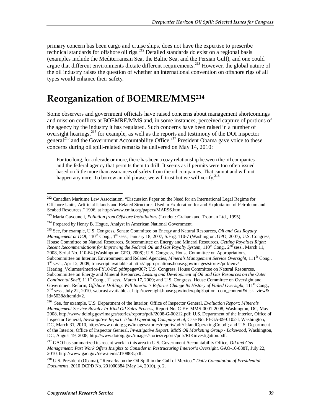primary concern has been cargo and cruise ships, does not have the expertise to prescribe technical standards for offshore oil rigs.<sup>212</sup> Detailed standards do exist on a regional basis (examples include the Mediterranean Sea, the Baltic Sea, and the Persian Gulf), and one could argue that different environments dictate different requirements.<sup>213</sup> However, the global nature of the oil industry raises the question of whether an international convention on offshore rigs of all types would enhance their safety.

## **Reorganization of BOEMRE/MMS214**

Some observers and government officials have raised concerns about management shortcomings and mission conflicts at BOEMRE/MMS and, in some instances, perceived capture of portions of the agency by the industry it has regulated. Such concerns have been raised in a number of oversight hearings,<sup>215</sup> for example, as well as the reports and testimony of the DOI inspector general<sup>216</sup> and the Government Accountability Office.<sup>217</sup> President Obama gave voice to these concerns during oil spill-related remarks he delivered on May 14, 2010:

For too long, for a decade or more, there has been a cozy relationship between the oil companies and the federal agency that permits them to drill. It seems as if permits were too often issued based on little more than assurances of safety from the oil companies. That cannot and will not happen anymore. To borrow an old phrase, we will trust but we will verify.<sup>218</sup>

<sup>-</sup><sup>212</sup> Canadian Maritime Law Association, "Discussion Paper on the Need for an International Legal Regime for Offshore Units, Artificial Islands and Related Structures Used in Exploration for and Exploitation of Petroleum and Seabed Resources," 1996, at http://www.cmla.org/papers/MAR96.htm.

<sup>213</sup> Maria Gavouneli, *Pollution from Offshore Installations* (London: Graham and Trotman Ltd., 1995).

<sup>&</sup>lt;sup>214</sup> Prepared by Henry B. Hogue, Analyst in American National Government.

<sup>215</sup> See, for example, U.S. Congress, Senate Committee on Energy and Natural Resources, *Oil and Gas Royalty Management at DOI*, 110<sup>th</sup> Cong., 1<sup>st</sup> sess., January 18, 2007, S.Hrg. 110-7 (Washington: GPO, 2007); U.S. Congress, House Committee on Natural Resources, Subcommittee on Energy and Mineral Resources, *Getting Royalties Right: Recent Recommendations for Improving the Federal Oil and Gas Royalty System*,  $110^{th}$  Cong., 2<sup>nd</sup> sess., March 11, 2008, Serial No. 110-64 (Washington: GPO, 2008); U.S. Congress, House Committee on Appropriations, Subcommittee on Interior, Environment, and Related Agencies, *Minerals Management Service Oversight*, 111<sup>th</sup> Cong., 1st sess., April 2, 2009, transcript available at http://appropriations.house.gov/images/stories/pdf/ienv/ Hearing\_Volumes/Interior-FY10-Pt5.pdf#page=307; U.S. Congress, House Committee on Natural Resources, Subcommittee on Energy and Mineral Resources, *Leasing and Development of Oil and Gas Resources on the Outer Continental Shelf*, 111<sup>th</sup> Cong., 1<sup>st</sup> sess., March 17, 2009; and U.S. Congress, House Committee on Oversight and Government Reform, *Offshore Drilling: Will Interior's Reforms Change Its History of Failed Oversight*, 111th Cong.,  $2<sup>nd</sup>$  sess., July 22, 2010, webcast available at http://oversight.house.gov/index.php?option=com\_content&task=view& id=5038&Itemid=2.

<sup>216</sup> See, for example, U.S. Department of the Interior, Office of Inspector General, *Evaluation Report: Minerals Management Service Royalty-In-Kind Oil Sales Process*, Report No. C-EV-MMS-0001-2008, Washington, DC, May 2008, http://www.doioig.gov/images/stories/reports/pdf//2008-G-00212.pdf; U.S. Department of the Interior, Office of Inspector General, *Investigative Report: Island Operating Company et al*, Case No. PI-GA-09-0102-I, Washington, DC, March 31, 2010, http://www.doioig.gov/images/stories/reports/pdf//IslandOperatingCo.pdf; and U.S. Department of the Interior, Office of Inspector General, *Investigative Report: MMS Oil Marketing Group - Lakewood*, Washington, DC, August 19, 2008, http://www.doioig.gov/images/stories/reports/pdf//RIKinvestigation.pdf.

<sup>217</sup> GAO has summarized its recent work in this area in U.S. Government Accountability Office, *Oil and Gas Management: Past Work Offers Insights to Consider in Restructuring Interior's Oversight*, GAO-10-888T, July 22, 2010, http://www.gao.gov/new.items/d10888t.pdf.

<sup>218</sup> U.S. President (Obama), "Remarks on the Oil Spill in the Gulf of Mexico," *Daily Compilation of Presidential Documents*, 2010 DCPD No. 201000384 (May 14, 2010), p. 2.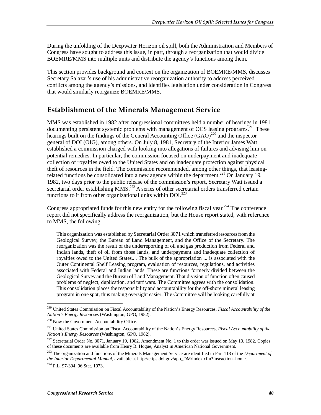During the unfolding of the Deepwater Horizon oil spill, both the Administration and Members of Congress have sought to address this issue, in part, through a reorganization that would divide BOEMRE/MMS into multiple units and distribute the agency's functions among them.

This section provides background and context on the organization of BOEMRE/MMS, discusses Secretary Salazar's use of his administrative reorganization authority to address perceived conflicts among the agency's missions, and identifies legislation under consideration in Congress that would similarly reorganize BOEMRE/MMS.

### **Establishment of the Minerals Management Service**

MMS was established in 1982 after congressional committees held a number of hearings in 1981 documenting persistent systemic problems with management of OCS leasing programs.<sup>219</sup> These hearings built on the findings of the General Accounting Office  $(GAO)^{220}$  and the inspector general of DOI (OIG), among others. On July 8, 1981, Secretary of the Interior James Watt established a commission charged with looking into allegations of failures and advising him on potential remedies. In particular, the commission focused on underpayment and inadequate collection of royalties owed to the United States and on inadequate protection against physical theft of resources in the field. The commission recommended, among other things, that leasingrelated functions be consolidated into a new agency within the department.<sup>221</sup> On January 19, 1982, two days prior to the public release of the commission's report, Secretary Watt issued a secretarial order establishing MMS.<sup>222</sup> A series of other secretarial orders transferred certain functions to it from other organizational units within  $DOL^{223}$ 

Congress appropriated funds for this new entity for the following fiscal year.<sup>224</sup> The conference report did not specifically address the reorganization, but the House report stated, with reference to MMS, the following:

This organization was established by Secretarial Order 3071 which transferred resources from the Geological Survey, the Bureau of Land Management, and the Office of the Secretary. The reorganization was the result of the underreporting of oil and gas production from Federal and Indian lands, theft of oil from those lands, and underpayment and inadequate collection of royalties owed to the United States.... The bulk of the appropriation ... is associated with the Outer Continental Shelf Leasing program, evaluation of resources, regulations, and activities associated with Federal and Indian lands. These are functions formerly divided between the Geological Survey and the Bureau of Land Management. That division of function often caused problems of neglect, duplication, and turf wars. The Committee agrees with the consolidation. This consolidation places the responsibility and accountability for the off-shore mineral leasing program in one spot, thus making oversight easier. The Committee will be looking carefully at

<sup>-</sup>219 United States Commission on Fiscal Accountability of the Nation's Energy Resources, *Fiscal Accountability of the Nation's Energy Resources* (Washington, GPO, 1982).

<sup>&</sup>lt;sup>220</sup> Now the Government Accountability Office.

<sup>221</sup> United States Commission on Fiscal Accountability of the Nation's Energy Resources, *Fiscal Accountability of the Nation's Energy Resources* (Washington, GPO, 1982).

 $222$  Secretarial Order No. 3071, January 19, 1982. Amendment No. 1 to this order was issued on May 10, 1982. Copies of these documents are available from Henry B. Hogue, Analyst in American National Government.

<sup>223</sup> The organization and functions of the Minerals Management Service are identified in Part 118 of the *Department of the Interior Departmental Manual*, available at http://elips.doi.gov/app\_DM/index.cfm?fuseaction=home.

 $224$  P.L. 97-394, 96 Stat. 1973.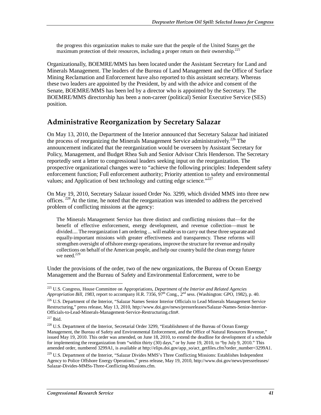the progress this organization makes to make sure that the people of the United States get the maximum protection of their resources, including a proper return on their ownership.<sup>22</sup>

Organizationally, BOEMRE/MMS has been located under the Assistant Secretary for Land and Minerals Management. The leaders of the Bureau of Land Management and the Office of Surface Mining Reclamation and Enforcement have also reported to this assistant secretary. Whereas these two leaders are appointed by the President, by and with the advice and consent of the Senate, BOEMRE/MMS has been led by a director who is appointed by the Secretary. The BOEMRE/MMS directorship has been a non-career (political) Senior Executive Service (SES) position.

### **Administrative Reorganization by Secretary Salazar**

On May 13, 2010, the Department of the Interior announced that Secretary Salazar had initiated the process of reorganizing the Minerals Management Service administratively.<sup>226</sup> The announcement indicated that the reorganization would be overseen by Assistant Secretary for Policy, Management, and Budget Rhea Suh and Senior Advisor Chris Henderson. The Secretary reportedly sent a letter to congressional leaders seeking input on the reorganization. The prospective organizational changes were to "achieve the following principles: Independent safety enforcement function; Full enforcement authority; Priority attention to safety and environmental values; and Application of best technology and cutting edge science."<sup>227</sup>

On May 19, 2010, Secretary Salazar issued Order No. 3299, which divided MMS into three new offices.<sup>228</sup> At the time, he noted that the reorganization was intended to address the perceived problem of conflicting missions at the agency:

The Minerals Management Service has three distinct and conflicting missions that—for the benefit of effective enforcement, energy development, and revenue collection—must be divided.... The reorganization I am ordering ... will enable us to carry out these three separate and equally-important missions with greater effectiveness and transparency. These reforms will strengthen oversight of offshore energy operations, improve the structure for revenue and royalty collections on behalf of the American people, and help our country build the clean energy future we need.<sup>229</sup>

Under the provisions of the order, two of the new organizations, the Bureau of Ocean Energy Management and the Bureau of Safety and Environmental Enforcement, were to be

<u>.</u>

<sup>225</sup> U.S. Congress, House Committee on Appropriations, *Department of the Interior and Related Agencies Appropriation Bill, 1983*, report to accompany H.R. 7356,  $97^{th}$  Cong.,  $2^{nd}$  sess. (Washington: GPO, 1982), p. 40.

<sup>&</sup>lt;sup>226</sup> U.S. Department of the Interior, "Salazar Names Senior Interior Officials to Lead Minerals Management Service Restructuring," press release, May 13, 2010, http://www.doi.gov/news/pressreleases/Salazar-Names-Senior-Interior-Officials-to-Lead-Minerals-Management-Service-Restructuring.cfm#.

 $227$  Ibid.

<sup>228</sup> U.S. Department of the Interior, Secretarial Order 3299, "Establishment of the Bureau of Ocean Energy Management, the Bureau of Safety and Environmental Enforcement, and the Office of Natural Resources Revenue," issued May 19, 2010. This order was amended, on June 18, 2010, to extend the deadline for development of a schedule for implementing the reorganization from "within thirty (30) days," or by June 19, 2010, to "by July 9, 2010." This amended order, numbered 3299A1, is available at http://elips.doi.gov/app\_so/act\_getfiles.cfm?order\_number=3299A1.

<sup>&</sup>lt;sup>229</sup> U.S. Department of the Interior, "Salazar Divides MMS's Three Conflicting Missions: Establishes Independent Agency to Police Offshore Energy Operations," press release, May 19, 2010, http://www.doi.gov/news/pressreleases/ Salazar-Divides-MMSs-Three-Conflicting-Missions.cfm.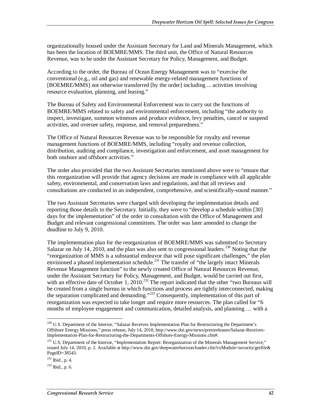organizationally housed under the Assistant Secretary for Land and Minerals Management, which has been the location of BOEMRE/MMS. The third unit, the Office of Natural Resources Revenue, was to be under the Assistant Secretary for Policy, Management, and Budget.

According to the order, the Bureau of Ocean Energy Management was to "exercise the conventional (e.g., oil and gas) and renewable energy-related management functions of [BOEMRE/MMS] not otherwise transferred [by the order] including ... activities involving resource evaluation, planning, and leasing."

The Bureau of Safety and Environmental Enforcement was to carry out the functions of BOEMRE/MMS related to safety and environmental enforcement, including "the authority to inspect, investigate, summon witnesses and produce evidence, levy penalties, cancel or suspend activities, and oversee safety, response, and removal preparedness."

The Office of Natural Resources Revenue was to be responsible for royalty and revenue management functions of BOEMRE/MMS, including "royalty and revenue collection, distribution, auditing and compliance, investigation and enforcement, and asset management for both onshore and offshore activities."

The order also provided that the two Assistant Secretaries mentioned above were to "ensure that this reorganization will provide that agency decisions are made in compliance with all applicable safety, environmental, and conservation laws and regulations, and that all reviews and consultations are conducted in an independent, comprehensive, and scientifically-sound manner."

The two Assistant Secretaries were charged with developing the implementation details and reporting those details to the Secretary. Initially, they were to "develop a schedule within [30] days for the implementation" of the order in consultation with the Office of Management and Budget and relevant congressional committees. The order was later amended to change the deadline to July 9, 2010.

The implementation plan for the reorganization of BOEMRE/MMS was submitted to Secretary Salazar on July 14, 2010, and the plan was also sent to congressional leaders.<sup>230</sup> Noting that the "reorganization of MMS is a substantial endeavor that will pose significant challenges," the plan envisioned a phased implementation schedule.<sup>231</sup> The transfer of "the largely intact Minerals" Revenue Management function" to the newly created Office of Natural Resources Revenue, under the Assistant Secretary for Policy, Management, and Budget, would be carried out first, with an effective date of October 1, 2010.<sup>232</sup> The report indicated that the other "two Bureaus will be created from a single bureau in which functions and process are tightly interconnected, making the separation complicated and demanding."233 Consequently, implementation of this part of reorganization was expected to take longer and require more resources. The plan called for "6 months of employee engagement and communication, detailed analysis, and planning … with a

<sup>&</sup>lt;sup>230</sup> U.S. Department of the Interior, "Salazar Receives Implementation Plan for Restructuring the Department's Offshore Energy Missions," press release, July 14, 2010, http://www.doi.gov/news/pressreleases/Salazar-Receives-Implementation-Plan-for-Restructuring-the-Departments-Offshore-Energy-Missions.cfm#.

<sup>&</sup>lt;sup>231</sup> U.S. Department of the Interior, "Implementation Report: Reorganization of the Minerals Management Service," issued July 14, 2010, p. 2. Available at http://www.doi.gov/deepwaterhorizon/loader.cfm?csModule=security/getfile& PageID=38543.

<sup>232</sup> Ibid., p. 4.

<sup>233</sup> Ibid., p. 6.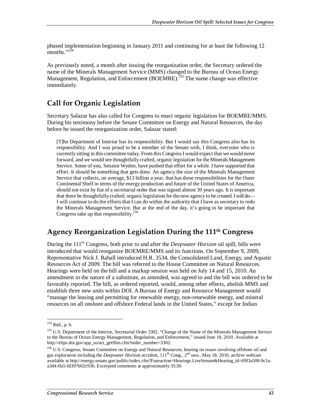phased implementation beginning in January 2011 and continuing for at least the following 12 months." $^{234}$ 

As previously noted, a month after issuing the reorganization order, the Secretary ordered the name of the Minerals Management Service (MMS) changed to the Bureau of Ocean Energy Management, Regulation, and Enforcement (BOEMRE).<sup>235</sup> The name change was effective immediately.

## **Call for Organic Legislation**

Secretary Salazar has also called for Congress to enact organic legislation for BOEMRE/MMS. During his testimony before the Senate Committee on Energy and Natural Resources, the day before he issued the reorganization order, Salazar stated:

[T]he Department of Interior has its responsibility. But I would say this Congress also has its responsibility. And I was proud to be a member of the Senate with, I think, everyone who is currently sitting in this committee today. From this Congress I would expect that we would move forward, and we would see thoughtfully crafted, organic legislation for the Minerals Management Service. Some of you, Senator Wyden, have pushed that effort for a while. I have supported that effort. It should be something that gets done. An agency the size of the Minerals Management Service that collects, on average, \$13 billion a year, that has these responsibilities for the Outer Continental Shelf in terms of the energy production and future of the United States of America, should not exist by fiat of a secretarial order that was signed almost 30 years ago. It is important that there be thoughtfully crafted, organic legislation for the new agency to be created. I will do— I will continue to do the efforts that I can do within the authority that I have as secretary to redo the Minerals Management Service. But at the end of the day, it's going to be important that Congress take up that responsibility.<sup>236</sup>

### **Agency Reorganization Legislation During the 111th Congress**

During the 111<sup>th</sup> Congress, both prior to and after the *Deepwater Horizon* oil spill, bills were introduced that would reorganize BOEMRE/MMS and its functions. On September 9, 2009, Representative Nick J. Rahall introduced H.R. 3534, the Consolidated Land, Energy, and Aquatic Resources Act of 2009. The bill was referred to the House Committee on Natural Resources. Hearings were held on the bill and a markup session was held on July 14 and 15, 2010. An amendment in the nature of a substitute, as amended, was agreed to and the bill was ordered to be favorably reported. The bill, as ordered reported, would, among other effects, abolish MMS and establish three new units within DOI. A Bureau of Energy and Resource Management would "manage the leasing and permitting for renewable energy, non-renewable energy, and mineral resources on all onshore and offshore Federal lands in the United States," except for Indian

<u>.</u>

 $^{234}$  Ibid., p. 6.

<sup>&</sup>lt;sup>235</sup> U.S. Department of the Interior, Secretarial Order 3302, "Change of the Name of the Minerals Management Service to the Bureau of Ocean Energy Management, Regulation, and Enforcement," issued June 18, 2010. Available at http://elips.doi.gov/app\_so/act\_getfiles.cfm?order\_number=3302.

<sup>&</sup>lt;sup>236</sup> U.S. Congress, Senate Committee on Energy and Natural Resources, hearing on issues involving offshore oil and gas exploration including the *Deepwater Horizon* accident,  $111<sup>th</sup>$  Cong.,  $2<sup>nd</sup>$  sess., May 18, 2010, archive webcast available at http://energy.senate.gov/public/index.cfm?Fuseaction=Hearings.LiveStream&Hearing\_id=69f3a508-9c1aa3d4-ffa5-fd397b02c93b. Excerpted comments at approximately 35:30.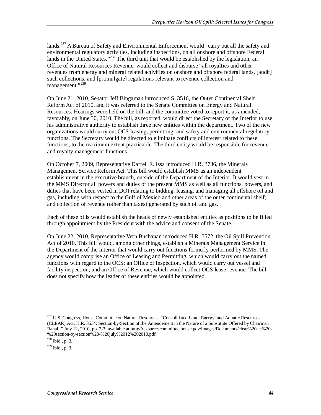lands.<sup>237</sup> A Bureau of Safety and Environmental Enforcement would "carry out all the safety and environmental regulatory activities, including inspections, on all onshore and offshore Federal lands in the United States."<sup>238</sup> The third unit that would be established by the legislation, an Office of Natural Resources Revenue, would collect and disburse "all royalties and other revenues from energy and mineral related activities on onshore and offshore federal lands, [audit] such collections, and [promulgate] regulations relevant to revenue collection and management."<sup>239</sup>

On June 21, 2010, Senator Jeff Bingaman introduced S. 3516, the Outer Continental Shelf Reform Act of 2010, and it was referred to the Senate Committee on Energy and Natural Resources. Hearings were held on the bill, and the committee voted to report it, as amended, favorably, on June 30, 2010. The bill, as reported, would direct the Secretary of the Interior to use his administrative authority to establish three new entities within the department. Two of the new organizations would carry out OCS leasing, permitting, and safety and environmental regulatory functions. The Secretary would be directed to eliminate conflicts of interest related to these functions, to the maximum extent practicable. The third entity would be responsible for revenue and royalty management functions.

On October 7, 2009, Representative Darrell E. Issa introduced H.R. 3736, the Minerals Management Service Reform Act. This bill would establish MMS as an independent establishment in the executive branch, outside of the Department of the Interior. It would vest in the MMS Director all powers and duties of the present MMS as well as all functions, powers, and duties that have been vested in DOI relating to bidding, leasing, and managing all offshore oil and gas, including with respect to the Gulf of Mexico and other areas of the outer continental shelf; and collection of revenue (other than taxes) generated by such oil and gas.

Each of these bills would establish the heads of newly established entities as positions to be filled through appointment by the President with the advice and consent of the Senate.

On June 22, 2010, Representative Vern Buchanan introduced H.R. 5572, the Oil Spill Prevention Act of 2010. This bill would, among other things, establish a Minerals Management Service in the Department of the Interior that would carry out functions formerly performed by MMS. The agency would comprise an Office of Leasing and Permitting, which would carry out the named functions with regard to the OCS; an Office of Inspection, which would carry out vessel and facility inspection; and an Office of Revenue, which would collect OCS lease revenue. The bill does not specify how the leader of these entities would be appointed.

<sup>-</sup><sup>237</sup> U.S. Congress, House Committee on Natural Resources, "Consolidated Land, Energy, and Aquatic Resources (CLEAR) Act; H.R. 3534; Section-by-Section of the Amendement in the Nature of a Substitute Offered by Chairman Rahall," July 12, 2010, pp. 2-3; available at http://resourcescommittee.house.gov/images/Documents/clear%20act%20- %20section-by-section%20-%20july%2012%202010.pdf.

<sup>238</sup> Ibid., p. 3.

<sup>239</sup> Ibid., p. 3.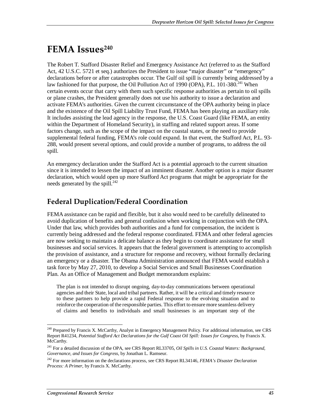## FEMA Issues<sup>240</sup>

The Robert T. Stafford Disaster Relief and Emergency Assistance Act (referred to as the Stafford Act, 42 U.S.C. 5721 et seq.) authorizes the President to issue "major disaster" or "emergency" declarations before or after catastrophes occur. The Gulf oil spill is currently being addressed by a law fashioned for that purpose, the Oil Pollution Act of 1990 (OPA), P.L. 101-380.<sup>241</sup> When certain events occur that carry with them such specific response authorities as pertain to oil spills or plane crashes, the President generally does not use his authority to issue a declaration and activate FEMA's authorities. Given the current circumstance of the OPA authority being in place and the existence of the Oil Spill Liability Trust Fund, FEMA has been playing an auxiliary role. It includes assisting the lead agency in the response, the U.S. Coast Guard (like FEMA, an entity within the Department of Homeland Security), in staffing and related support areas. If some factors change, such as the scope of the impact on the coastal states, or the need to provide supplemental federal funding, FEMA's role could expand. In that event, the Stafford Act, P.L. 93- 288, would present several options, and could provide a number of programs, to address the oil spill.

An emergency declaration under the Stafford Act is a potential approach to the current situation since it is intended to lessen the impact of an imminent disaster. Another option is a major disaster declaration, which would open up more Stafford Act programs that might be appropriate for the needs generated by the spill. $^{242}$ 

### **Federal Duplication/Federal Coordination**

FEMA assistance can be rapid and flexible, but it also would need to be carefully delineated to avoid duplication of benefits and general confusion when working in conjunction with the OPA. Under that law, which provides both authorities and a fund for compensation, the incident is currently being addressed and the federal response coordinated. FEMA and other federal agencies are now seeking to maintain a delicate balance as they begin to coordinate assistance for small businesses and social services. It appears that the federal government is attempting to accomplish the provision of assistance, and a structure for response and recovery, without formally declaring an emergency or a disaster. The Obama Administration announced that FEMA would establish a task force by May 27, 2010, to develop a Social Services and Small Businesses Coordination Plan. As an Office of Management and Budget memorandum explains:

The plan is not intended to disrupt ongoing, day-to-day communications between operational agencies and their State, local and tribal partners. Rather, it will be a critical and timely resource to these partners to help provide a rapid Federal response to the evolving situation and to reinforce the cooperation of the responsible parties. This effort to ensure more seamless delivery of claims and benefits to individuals and small businesses is an important step of the

<sup>-</sup><sup>240</sup> Prepared by Francis X. McCarthy, Analyst in Emergency Management Policy. For additional information, see CRS Report R41234, *Potential Stafford Act Declarations for the Gulf Coast Oil Spill: Issues for Congress*, by Francis X. McCarthy.

<sup>241</sup> For a detailed discussion of the OPA, see CRS Report RL33705, *Oil Spills in U.S. Coastal Waters: Background, Governance, and Issues for Congress*, by Jonathan L. Ramseur.

<sup>242</sup> For more information on the declarations process, see CRS Report RL34146, *FEMA's Disaster Declaration Process: A Primer*, by Francis X. McCarthy.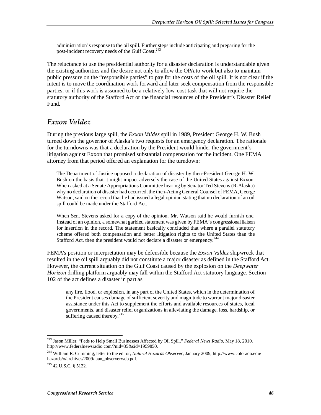administration's response to the oil spill. Further steps include anticipating and preparing for the post-incident recovery needs of the Gulf Coast.<sup>243</sup>

The reluctance to use the presidential authority for a disaster declaration is understandable given the existing authorities and the desire not only to allow the OPA to work but also to maintain public pressure on the "responsible parties" to pay for the costs of the oil spill. It is not clear if the intent is to move the coordination work forward and later seek compensation from the responsible parties, or if this work is assumed to be a relatively low-cost task that will not require the statutory authority of the Stafford Act or the financial resources of the President's Disaster Relief Fund.

### *Exxon Valdez*

During the previous large spill, the *Exxon Valdez* spill in 1989, President George H. W. Bush turned down the governor of Alaska's two requests for an emergency declaration. The rationale for the turndowns was that a declaration by the President would hinder the government's litigation against Exxon that promised substantial compensation for the incident. One FEMA attorney from that period offered an explanation for the turndown:

The Department of Justice opposed a declaration of disaster by then-President George H. W. Bush on the basis that it might impact adversely the case of the United States against Exxon. When asked at a Senate Appropriations Committee hearing by Senator Ted Stevens (R-Alaska) why no declaration of disaster had occurred, the then-Acting General Counsel of FEMA, George Watson, said on the record that he had issued a legal opinion stating that no declaration of an oil spill could be made under the Stafford Act.

When Sen. Stevens asked for a copy of the opinion, Mr. Watson said he would furnish one. Instead of an opinion, a somewhat garbled statement was given by FEMA's congressional liaison for insertion in the record. The statement basically concluded that where a parallel statutory scheme offered both compensation and better litigation rights to the United States than the Stafford Act, then the president would not declare a disaster or emergency.<sup>244</sup>

FEMA's position or interpretation may be defensible because the *Exxon Valdez* shipwreck that resulted in the oil spill arguably did not constitute a major disaster as defined in the Stafford Act. However, the current situation on the Gulf Coast caused by the explosion on the *Deepwater Horizon* drilling platform arguably may fall within the Stafford Act statutory language. Section 102 of the act defines a disaster in part as

any fire, flood, or explosion, in any part of the United States, which in the determination of the President causes damage of sufficient severity and magnitude to warrant major disaster assistance under this Act to supplement the efforts and available resources of states, local governments, and disaster relief organizations in alleviating the damage, loss, hardship, or suffering caused thereby.<sup>245</sup>

<sup>-</sup>243 Jason Miller, "Feds to Help Small Businesses Affected by Oil Spill," *Federal News Radio,* May 18, 2010, http://www.federalnewsradio.com/?nid=35&sid=1959850.

<sup>244</sup> William R. Cumming, letter to the editor, *Natural Hazards Observer,* January 2009, http://www.colorado.edu/ hazards/o/archives/2009/jaan\_observerweb.pdf.

 $245$  42 U.S.C. § 5122.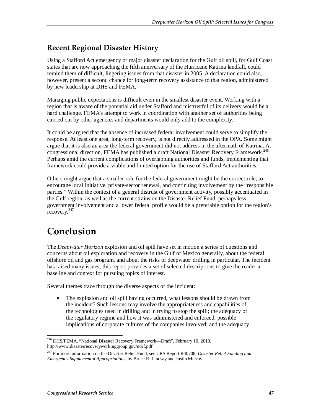## **Recent Regional Disaster History**

Using a Stafford Act emergency or major disaster declaration for the Gulf oil spill, for Gulf Coast states that are now approaching the fifth anniversary of the Hurricane Katrina landfall, could remind them of difficult, lingering issues from that disaster in 2005. A declaration could also, however, present a second chance for long-term recovery assistance to that region, administered by new leadership at DHS and FEMA.

Managing public expectations is difficult even in the smallest disaster event. Working with a region that is aware of the potential aid under Stafford and mistrustful of its delivery would be a hard challenge. FEMA's attempt to work in coordination with another set of authorities being carried out by other agencies and departments would only add to the complexity.

It could be argued that the absence of increased federal involvement could serve to simplify the response. At least one area, long-term recovery, is not directly addressed in the OPA. Some might argue that it is also an area the federal government did not address in the aftermath of Katrina. At congressional direction, FEMA has published a draft National Disaster Recovery Framework.<sup>246</sup> Perhaps amid the current complications of overlapping authorities and funds, implementing that framework could provide a viable and limited option for the use of Stafford Act authorities.

Others might argue that a smaller role for the federal government might be the correct role, to encourage local initiative, private-sector renewal, and continuing involvement by the "responsible parties." Within the context of a general distrust of government activity, possibly accentuated in the Gulf region, as well as the current strains on the Disaster Relief Fund, perhaps less government involvement and a lower federal profile would be a preferable option for the region's recovery.<sup>247</sup>

## **Conclusion**

The *Deepwater Horizon* explosion and oil spill have set in motion a series of questions and concerns about oil exploration and recovery in the Gulf of Mexico generally, about the federal offshore oil and gas program, and about the risks of deepwater drilling in particular. The incident has raised many issues; this report provides a set of selected descriptions to give the reader a baseline and context for pursuing topics of interest.

Several themes trace through the diverse aspects of the incident:

• The explosion and oil spill having occurred, what lessons should be drawn from the incident? Such lessons may involve the appropriateness and capabilities of the technologies used in drilling and in trying to stop the spill; the adequacy of the regulatory regime and how it was administered and enforced; possible implications of corporate cultures of the companies involved; and the adequacy

<sup>-</sup><sup>246</sup> DHS/FEMA, "National Disaster Recovery Framework—Draft", February 10, 2010, http://www.disasterrecoveryworkinggroup.gov/ndrf.pdf.

<sup>247</sup> For more information on the Disaster Relief Fund, see CRS Report R40708, *Disaster Relief Funding and Emergency Supplemental Appropriations*, by Bruce R. Lindsay and Justin Murray.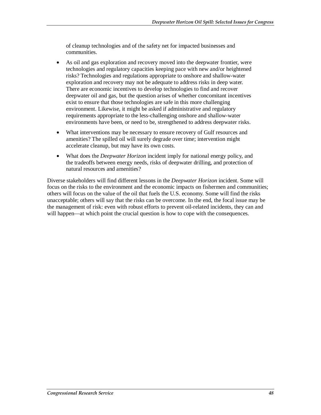of cleanup technologies and of the safety net for impacted businesses and communities.

- As oil and gas exploration and recovery moved into the deepwater frontier, were technologies and regulatory capacities keeping pace with new and/or heightened risks? Technologies and regulations appropriate to onshore and shallow-water exploration and recovery may not be adequate to address risks in deep water. There are economic incentives to develop technologies to find and recover deepwater oil and gas, but the question arises of whether concomitant incentives exist to ensure that those technologies are safe in this more challenging environment. Likewise, it might be asked if administrative and regulatory requirements appropriate to the less-challenging onshore and shallow-water environments have been, or need to be, strengthened to address deepwater risks.
- What interventions may be necessary to ensure recovery of Gulf resources and amenities? The spilled oil will surely degrade over time; intervention might accelerate cleanup, but may have its own costs.
- What does the *Deepwater Horizon* incident imply for national energy policy, and the tradeoffs between energy needs, risks of deepwater drilling, and protection of natural resources and amenities?

Diverse stakeholders will find different lessons in the *Deepwater Horizon* incident. Some will focus on the risks to the environment and the economic impacts on fishermen and communities; others will focus on the value of the oil that fuels the U.S. economy. Some will find the risks unacceptable; others will say that the risks can be overcome. In the end, the focal issue may be the management of risk: even with robust efforts to prevent oil-related incidents, they can and will happen—at which point the crucial question is how to cope with the consequences.